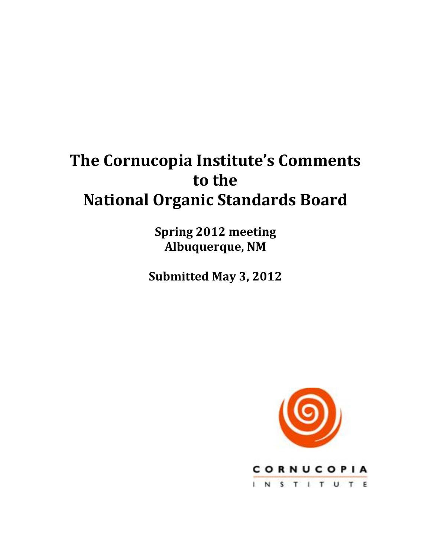# **The Cornucopia Institute's Comments** to the **National!Organic!Standards!Board**

**Spring!2012!meeting Albuquerque, NM** 

**Submitted May 3, 2012** 

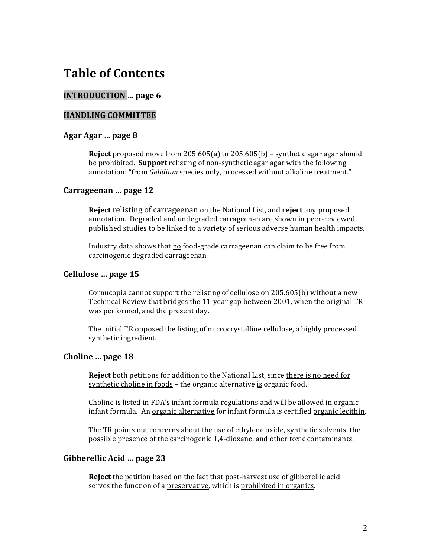## **Table!of!Contents**

#### **INTRODUCTION** ... page 6

#### **HANDLING!COMMITTEE**

#### Agar Agar ... page 8

**Reject** proposed move from  $205.605(a)$  to  $205.605(b)$  – synthetic agar agar should be prohibited. **Support** relisting of non-synthetic agar agar with the following annotation: "from *Gelidium* species only, processed without alkaline treatment."

#### Carrageenan ... page 12

**Reject relisting of carrageenan on the National List, and <b>reject** any proposed annotation. Degraded and undegraded carrageenan are shown in peer-reviewed published studies to be linked to a variety of serious adverse human health impacts.

Industry data shows that no food-grade carrageenan can claim to be free from carcinogenic degraded carrageenan.

#### Cellulose ... page 15

Cornucopia cannot support the relisting of cellulose on  $205.605(b)$  without a new Technical Review that bridges the 11-year gap between 2001, when the original TR was performed, and the present day.

The initial TR opposed the listing of microcrystalline cellulose, a highly processed synthetic ingredient.

#### Choline ... page 18

**Reject** both petitions for addition to the National List, since there is no need for synthetic choline in foods – the organic alternative is organic food.

Choline is listed in FDA's infant formula regulations and will be allowed in organic infant formula. An organic alternative for infant formula is certified organic lecithin.

The TR points out concerns about the use of ethylene oxide, synthetic solvents, the possible presence of the carcinogenic 1,4-dioxane, and other toxic contaminants.

#### **Gibberellic!Acid!…!page!23**

**Reject** the petition based on the fact that post-harvest use of gibberellic acid serves the function of a preservative, which is prohibited in organics.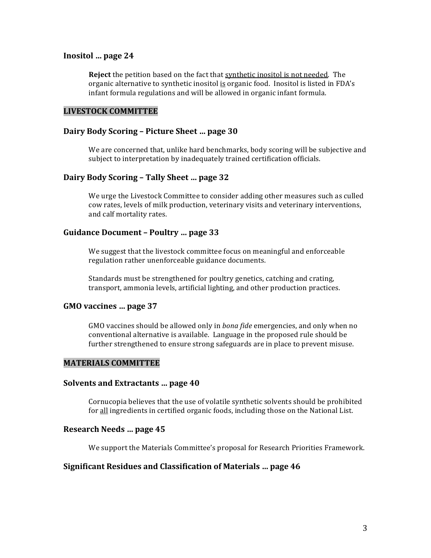#### Inositol ... page 24

**Reject** the petition based on the fact that synthetic inositol is not needed. The organic alternative to synthetic inositol is organic food. Inositol is listed in FDA's infant formula regulations and will be allowed in organic infant formula.

#### **LIVESTOCK!COMMITTEE**

#### Dairy Body Scoring - Picture Sheet ... page 30

We are concerned that, unlike hard benchmarks, body scoring will be subjective and subject to interpretation by inadequately trained certification officials.

#### Dairy Body Scoring - Tally Sheet ... page 32

We urge the Livestock Committee to consider adding other measures such as culled cow rates, levels of milk production, veterinary visits and veterinary interventions, and calf mortality rates.

#### Guidance Document – Poultry ... page 33

We suggest that the livestock committee focus on meaningful and enforceable regulation rather unenforceable guidance documents.

Standards must be strengthened for poultry genetics, catching and crating, transport, ammonia levels, artificial lighting, and other production practices.

#### GMO vaccines ... page 37

GMO vaccines should be allowed only in *bona fide* emergencies, and only when no conventional alternative is available. Language in the proposed rule should be further strengthened to ensure strong safeguards are in place to prevent misuse.

#### **MATERIALS!COMMITTEE**

#### **Solvents and Extractants ... page 40**

Cornucopia believes that the use of volatile synthetic solvents should be prohibited for all ingredients in certified organic foods, including those on the National List.

#### **Research Needs ... page 45**

We support the Materials Committee's proposal for Research Priorities Framework.

#### **Significant Residues and Classification of Materials ... page 46**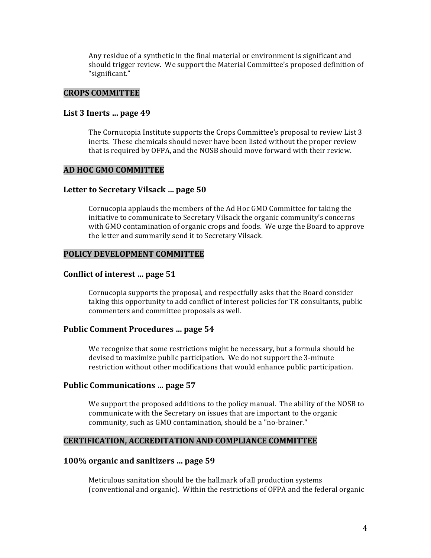Any residue of a synthetic in the final material or environment is significant and should trigger review. We support the Material Committee's proposed definition of "significant."

#### **CROPS!COMMITTEE**

#### List 3 Inerts ... page 49

The Cornucopia Institute supports the Crops Committee's proposal to review List 3 inerts. These chemicals should never have been listed without the proper review that is required by OFPA, and the NOSB should move forward with their review.

#### **AD!HOC!GMO!COMMITTEE**

#### Letter to Secretary Vilsack ... page 50

Cornucopia applauds the members of the Ad Hoc GMO Committee for taking the initiative to communicate to Secretary Vilsack the organic community's concerns with GMO contamination of organic crops and foods. We urge the Board to approve the letter and summarily send it to Secretary Vilsack.

#### POLICY DEVELOPMENT COMMITTEE

#### **Conflict of interest ... page 51**

Cornucopia supports the proposal, and respectfully asks that the Board consider taking this opportunity to add conflict of interest policies for TR consultants, public commenters and committee proposals as well.

#### Public Comment Procedures ... page 54

We recognize that some restrictions might be necessary, but a formula should be devised to maximize public participation. We do not support the 3-minute restriction without other modifications that would enhance public participation.

#### Public Communications ... page 57

We support the proposed additions to the policy manual. The ability of the NOSB to communicate with the Secretary on issues that are important to the organic community, such as GMO contamination, should be a "no-brainer."

#### **CERTIFICATION, ACCREDITATION AND COMPLIANCE COMMITTEE**

#### **100%!organic!and!sanitizers!…!page!59**

Meticulous sanitation should be the hallmark of all production systems (conventional and organic). Within the restrictions of OFPA and the federal organic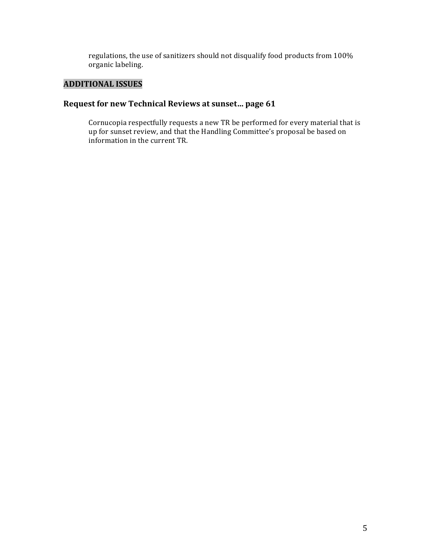regulations, the use of sanitizers should not disqualify food products from 100% organic labeling.

### **ADDITIONAL!ISSUES**

#### Request for new Technical Reviews at sunset... page 61

Cornucopia respectfully requests a new TR be performed for every material that is up for sunset review, and that the Handling Committee's proposal be based on information in the current TR.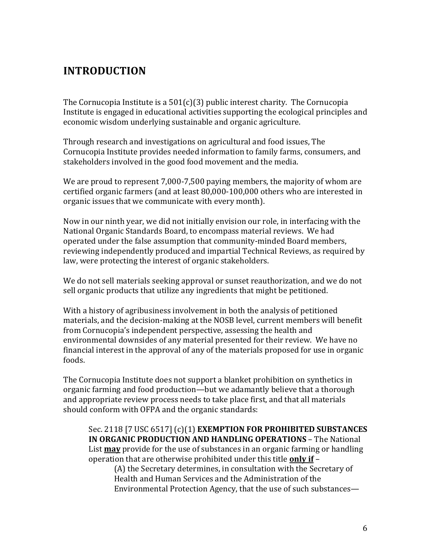## **INTRODUCTION**

The Cornucopia Institute is a  $501(c)(3)$  public interest charity. The Cornucopia Institute is engaged in educational activities supporting the ecological principles and economic wisdom underlying sustainable and organic agriculture.

Through research and investigations on agricultural and food issues, The Cornucopia Institute provides needed information to family farms, consumers, and stakeholders involved in the good food movement and the media.

We are proud to represent 7,000-7,500 paying members, the majority of whom are certified organic farmers (and at least 80,000-100,000 others who are interested in organic issues that we communicate with every month).

Now in our ninth year, we did not initially envision our role, in interfacing with the National Organic Standards Board, to encompass material reviews. We had operated under the false assumption that community-minded Board members, reviewing independently produced and impartial Technical Reviews, as required by law, were protecting the interest of organic stakeholders.

We do not sell materials seeking approval or sunset reauthorization, and we do not sell organic products that utilize any ingredients that might be petitioned.

With a history of agribusiness involvement in both the analysis of petitioned materials, and the decision-making at the NOSB level, current members will benefit from Cornucopia's independent perspective, assessing the health and environmental downsides of any material presented for their review. We have no financial interest in the approval of any of the materials proposed for use in organic foods.

The Cornucopia Institute does not support a blanket prohibition on synthetics in organic farming and food production—but we adamantly believe that a thorough and appropriate review process needs to take place first, and that all materials should conform with OFPA and the organic standards:

Sec. 2118 [7 USC 6517] (c)(1) **EXEMPTION FOR PROHIBITED SUBSTANCES IN ORGANIC PRODUCTION AND HANDLING OPERATIONS - The National** List **may** provide for the use of substances in an organic farming or handling operation that are otherwise prohibited under this title only if –

(A) the Secretary determines, in consultation with the Secretary of Health and Human Services and the Administration of the Environmental Protection Agency, that the use of such substances—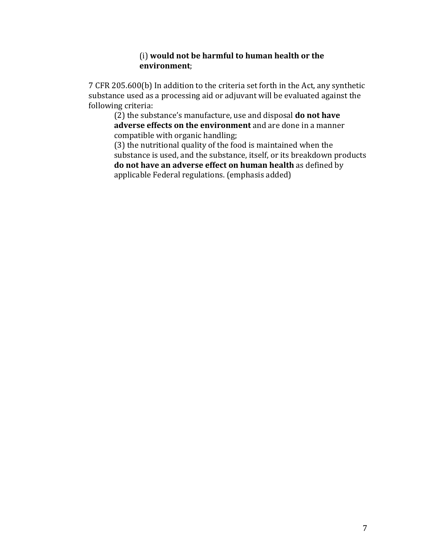#### (i) would not be harmful to human health or the **environment**;

7 CFR 205.600(b) In addition to the criteria set forth in the Act, any synthetic substance used as a processing aid or adjuvant will be evaluated against the following criteria:

(2) the substance's manufacture, use and disposal **do not have adverse effects on the environment** and are done in a manner compatible with organic handling;

 $(3)$  the nutritional quality of the food is maintained when the substance is used, and the substance, itself, or its breakdown products **do not have an adverse effect on human health** as defined by applicable Federal regulations. (emphasis added)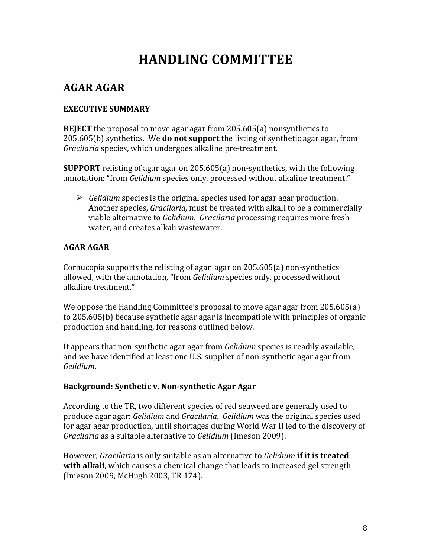# **HANDLING!COMMITTEE**

## **AGAR!AGAR**

### **EXECUTIVE SUMMARY**

**REJECT** the proposal to move agar agar from 205.605(a) nonsynthetics to 205.605(b) synthetics. We **do not support** the listing of synthetic agar agar, from *Gracilaria* species, which undergoes alkaline pre-treatment.

**SUPPORT** relisting of agar agar on 205.605(a) non-synthetics, with the following annotation: "from *Gelidium* species only, processed without alkaline treatment."

 $\triangleright$  *Gelidium* species is the original species used for agar agar production. Another species, *Gracilaria*, must be treated with alkali to be a commercially viable alternative to *Gelidium. Gracilaria* processing requires more fresh water, and creates alkali wastewater.

### **AGAR!AGAR**

Cornucopia supports the relisting of agar agar on  $205.605(a)$  non-synthetics allowed, with the annotation, "from *Gelidium* species only, processed without alkaline treatment."

We oppose the Handling Committee's proposal to move agar agar from  $205.605(a)$ to  $205.605(b)$  because synthetic agar agar is incompatible with principles of organic production and handling, for reasons outlined below.

It appears that non-synthetic agar agar from *Gelidium* species is readily available, and we have identified at least one U.S. supplier of non-synthetic agar agar from *Gelidium*.

### **Background: Synthetic v. Non-synthetic Agar Agar**

According to the TR, two different species of red seaweed are generally used to produce agar agar: *Gelidium* and *Gracilaria. Gelidium* was the original species used for agar agar production, until shortages during World War II led to the discovery of *Gracilaria* as a suitable alternative to *Gelidium* (Imeson 2009).

However, *Gracilaria* is only suitable as an alternative to *Gelidium* if it is treated with alkali, which causes a chemical change that leads to increased gel strength (Imeson 2009, McHugh 2003, TR 174).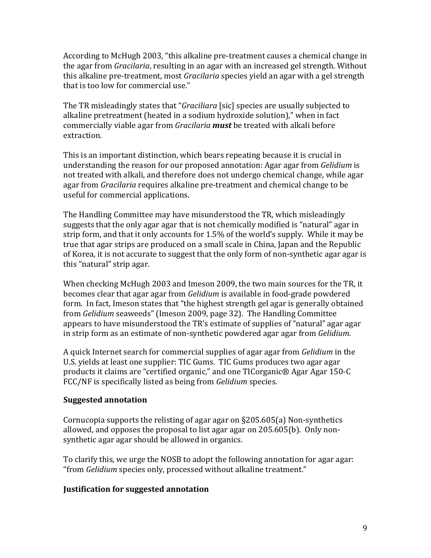According to McHugh 2003, "this alkaline pre-treatment causes a chemical change in the agar from *Gracilaria*, resulting in an agar with an increased gel strength. Without this alkaline pre-treatment, most *Gracilaria* species yield an agar with a gel strength that is too low for commercial use."

The TR misleadingly states that "*Graciliara* [sic] species are usually subjected to alkaline pretreatment (heated in a sodium hydroxide solution)," when in fact commercially viable agar from *Gracilaria must* be treated with alkali before extraction.

This is an important distinction, which bears repeating because it is crucial in understanding the reason for our proposed annotation: Agar agar from *Gelidium* is not treated with alkali, and therefore does not undergo chemical change, while agar agar from *Gracilaria* requires alkaline pre-treatment and chemical change to be useful for commercial applications.

The Handling Committee may have misunderstood the TR, which misleadingly suggests that the only agar agar that is not chemically modified is "natural" agar in strip form, and that it only accounts for 1.5% of the world's supply. While it may be true that agar strips are produced on a small scale in China, Japan and the Republic of Korea, it is not accurate to suggest that the only form of non-synthetic agar agar is this "natural" strip agar.

When checking McHugh 2003 and Imeson 2009, the two main sources for the TR, it becomes clear that agar agar from *Gelidium* is available in food-grade powdered form. In fact, Imeson states that "the highest strength gel agar is generally obtained from *Gelidium* seaweeds" (Imeson 2009, page 32). The Handling Committee appears to have misunderstood the TR's estimate of supplies of "natural" agar agar in strip form as an estimate of non-synthetic powdered agar agar from *Gelidium*.

A quick Internet search for commercial supplies of agar agar from *Gelidium* in the U.S. yields at least one supplier: TIC Gums. TIC Gums produces two agar agar products it claims are "certified organic," and one TICorganic® Agar Agar 150-C FCC/NF is specifically listed as being from *Gelidium* species.

#### **Suggested!annotation**

Cornucopia supports the relisting of agar agar on  $\S205.605(a)$  Non-synthetics allowed, and opposes the proposal to list agar agar on  $205.605(b)$ . Only nonsynthetic agar agar should be allowed in organics.

To clarify this, we urge the NOSB to adopt the following annotation for agar agar: "from *Gelidium* species only, processed without alkaline treatment."

#### **Justification for suggested annotation**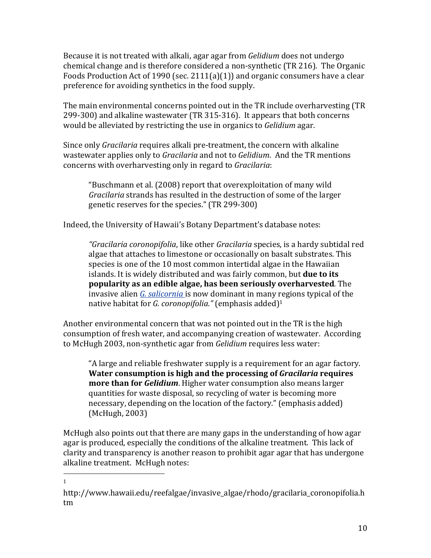Because it is not treated with alkali, agar agar from *Gelidium* does not undergo chemical change and is therefore considered a non-synthetic (TR 216). The Organic Foods Production Act of 1990 (sec. 2111(a)(1)) and organic consumers have a clear preference for avoiding synthetics in the food supply.

The main environmental concerns pointed out in the TR include overharvesting (TR) 299-300) and alkaline wastewater (TR 315-316). It appears that both concerns would be alleviated by restricting the use in organics to *Gelidium* agar.

Since only *Gracilaria* requires alkali pre-treatment, the concern with alkaline wastewater applies only to *Gracilaria* and not to *Gelidium*. And the TR mentions concerns with overharvesting only in regard to *Gracilaria*:

"Buschmann et al. (2008) report that overexploitation of many wild *Gracilaria* strands has resulted in the destruction of some of the larger genetic reserves for the species." (TR 299-300)

Indeed, the University of Hawaii's Botany Department's database notes:

"*Gracilaria coronopifolia*, like other *Gracilaria* species, is a hardy subtidal red algae that attaches to limestone or occasionally on basalt substrates. This species is one of the 10 most common intertidal algae in the Hawaiian islands. It is widely distributed and was fairly common, but **due to its popularity as an edible algae, has been seriously overharvested.** The invasive alien *G. salicornia* is now dominant in many regions typical of the native habitat for *G. coronopifolia."* (emphasis added)<sup>1</sup>

Another environmental concern that was not pointed out in the TR is the high consumption of fresh water, and accompanying creation of wastewater. According to McHugh 2003, non-synthetic agar from *Gelidium* requires less water:

"A large and reliable freshwater supply is a requirement for an agar factory. **Water consumption is high and the processing of** *Gracilaria* **requires more than for Gelidium**. Higher water consumption also means larger quantities for waste disposal, so recycling of water is becoming more necessary, depending on the location of the factory." (emphasis added) (McHugh, 2003)

McHugh also points out that there are many gaps in the understanding of how agar agar is produced, especially the conditions of the alkaline treatment. This lack of clarity and transparency is another reason to prohibit agar agar that has undergone alkaline treatment. McHugh notes:

!!!!!!!!!!!!!!!!!!!!!!!!!!!!!!!!!!!!!!!!!!!!!!!!!!!!!!! 1

http://www.hawaii.edu/reefalgae/invasive\_algae/rhodo/gracilaria\_coronopifolia.h tm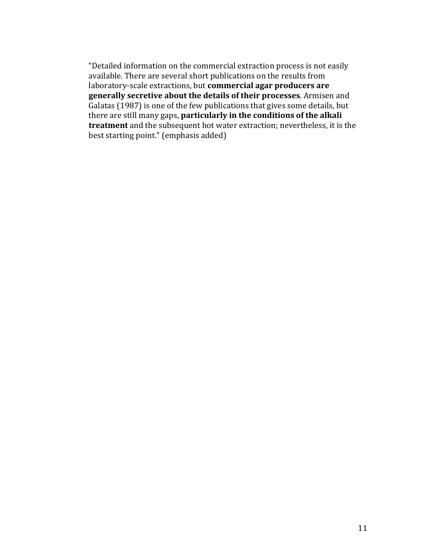"Detailed information on the commercial extraction process is not easily available. There are several short publications on the results from laboratory-scale extractions, but **commercial agar producers are** generally secretive about the details of their processes. Armisen and Galatas (1987) is one of the few publications that gives some details, but there are still many gaps, **particularly in the conditions of the alkali treatment** and the subsequent hot water extraction; nevertheless, it is the best starting point." (emphasis added)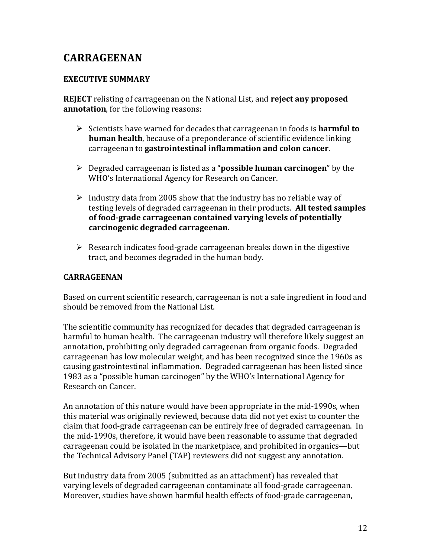## **CARRAGEENAN**

#### **EXECUTIVE SUMMARY**

**REJECT** relisting of carrageenan on the National List, and **reject any proposed annotation**, for the following reasons:

- $\triangleright$  Scientists have warned for decades that carrageenan in foods is **harmful to human health**, because of a preponderance of scientific evidence linking carrageenan to **gastrointestinal inflammation and colon cancer**.
- **EXE** Degraded carrageenan is listed as a "**possible human carcinogen**" by the WHO's International Agency for Research on Cancer.
- Industry data from 2005 show that the industry has no reliable way of testing levels of degraded carrageenan in their products. **All tested samples** of food-grade carrageenan contained varying levels of potentially **carcinogenic!degraded!carrageenan.**
- $\triangleright$  Research indicates food-grade carrageenan breaks down in the digestive tract, and becomes degraded in the human body.

#### **CARRAGEENAN**

Based on current scientific research, carrageenan is not a safe ingredient in food and should be removed from the National List.

The scientific community has recognized for decades that degraded carrageenan is harmful to human health. The carrageenan industry will therefore likely suggest an annotation, prohibiting only degraded carrageenan from organic foods. Degraded carrageenan has low molecular weight, and has been recognized since the 1960s as causing gastrointestinal inflammation. Degraded carrageenan has been listed since 1983 as a "possible human carcinogen" by the WHO's International Agency for Research on Cancer.

An annotation of this nature would have been appropriate in the mid-1990s, when this material was originally reviewed, because data did not vet exist to counter the claim that food-grade carrageenan can be entirely free of degraded carrageenan. In the mid-1990s, therefore, it would have been reasonable to assume that degraded carrageenan could be isolated in the marketplace, and prohibited in organics—but the Technical Advisory Panel (TAP) reviewers did not suggest any annotation.

But industry data from 2005 (submitted as an attachment) has revealed that varying levels of degraded carrageenan contaminate all food-grade carrageenan. Moreover, studies have shown harmful health effects of food-grade carrageenan,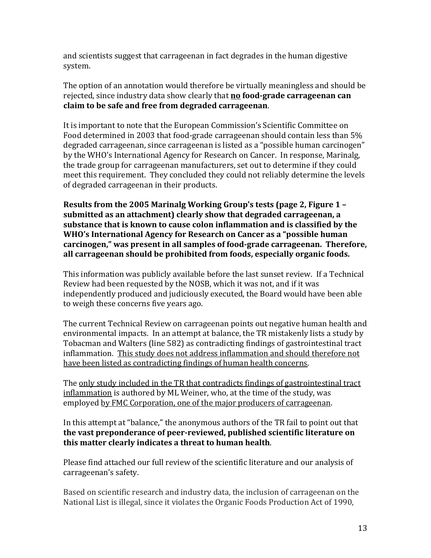and scientists suggest that carrageenan in fact degrades in the human digestive system.

The option of an annotation would therefore be virtually meaningless and should be rejected, since industry data show clearly that **no food-grade carrageenan can claim to be safe and free from degraded carrageenan.** 

It is important to note that the European Commission's Scientific Committee on Food determined in 2003 that food-grade carrageenan should contain less than 5% degraded carrageenan, since carrageenan is listed as a "possible human carcinogen" by the WHO's International Agency for Research on Cancer. In response, Marinalg, the trade group for carrageenan manufacturers, set out to determine if they could meet this requirement. They concluded they could not reliably determine the levels of degraded carrageenan in their products.

**Results from the 2005 Marinalg Working Group's tests (page 2, Figure 1 –** submitted as an attachment) clearly show that degraded carrageenan, a substance that is known to cause colon inflammation and is classified by the WHO's International Agency for Research on Cancer as a "possible human" carcinogen," was present in all samples of food-grade carrageenan. Therefore, all carrageenan should be prohibited from foods, especially organic foods.

This information was publicly available before the last sunset review. If a Technical Review had been requested by the NOSB, which it was not, and if it was independently produced and judiciously executed, the Board would have been able to weigh these concerns five years ago.

The current Technical Review on carrageenan points out negative human health and environmental impacts. In an attempt at balance, the TR mistakenly lists a study by Tobacman and Walters (line 582) as contradicting findings of gastrointestinal tract inflammation. This study does not address inflammation and should therefore not have been listed as contradicting findings of human health concerns.

The only study included in the TR that contradicts findings of gastrointestinal tract inflammation is authored by ML Weiner, who, at the time of the study, was employed by FMC Corporation, one of the major producers of carrageenan.

In this attempt at "balance," the anonymous authors of the TR fail to point out that the vast preponderance of peer-reviewed, published scientific literature on this matter clearly indicates a threat to human health.

Please find attached our full review of the scientific literature and our analysis of carrageenan's safety.

Based on scientific research and industry data, the inclusion of carrageenan on the National List is illegal, since it violates the Organic Foods Production Act of 1990,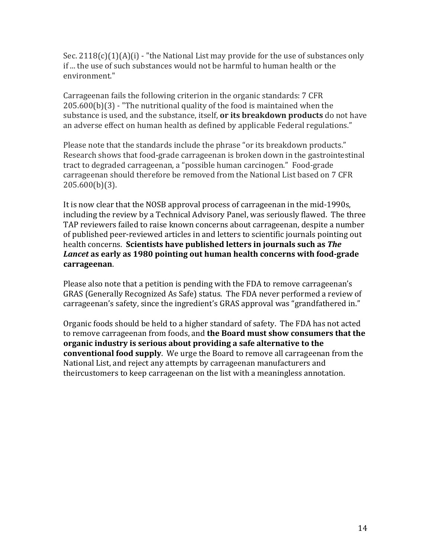Sec.  $2118(c)(1)(A)(i)$  - "the National List may provide for the use of substances only if ... the use of such substances would not be harmful to human health or the environment."

Carrageenan fails the following criterion in the organic standards: 7 CFR  $205.600(b)(3)$  - "The nutritional quality of the food is maintained when the substance is used, and the substance, itself, **or its breakdown products** do not have an adverse effect on human health as defined by applicable Federal regulations."

Please note that the standards include the phrase "or its breakdown products." Research shows that food-grade carrageenan is broken down in the gastrointestinal tract to degraded carrageenan, a "possible human carcinogen." Food-grade carrageenan should therefore be removed from the National List based on 7 CFR 205.600(b)(3).

It is now clear that the NOSB approval process of carrageenan in the mid-1990s, including the review by a Technical Advisory Panel, was seriously flawed. The three TAP reviewers failed to raise known concerns about carrageenan, despite a number of published peer-reviewed articles in and letters to scientific journals pointing out health concerns. **Scientists have published letters in journals such as** *The Lancet* as early as 1980 pointing out human health concerns with food-grade **carrageenan**.!!

Please also note that a petition is pending with the FDA to remove carrageenan's GRAS (Generally Recognized As Safe) status. The FDA never performed a review of carrageenan's safety, since the ingredient's GRAS approval was "grandfathered in."

Organic foods should be held to a higher standard of safety. The FDA has not acted to remove carrageenan from foods, and the Board must show consumers that the **organic industry is serious about providing a safe alternative to the conventional food supply**. We urge the Board to remove all carrageenan from the National List, and reject any attempts by carrageenan manufacturers and theircustomers to keep carrageenan on the list with a meaningless annotation.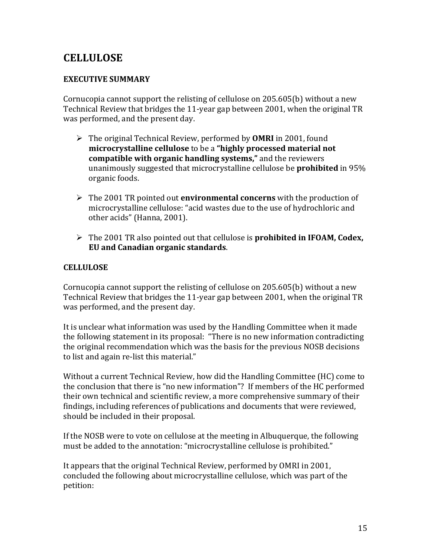## **CELLULOSE**

### **EXECUTIVE SUMMARY**

Cornucopia cannot support the relisting of cellulose on 205.605(b) without a new Technical Review that bridges the 11-year gap between 2001, when the original TR was performed, and the present day.

- $\triangleright$  The original Technical Review, performed by **OMRI** in 2001, found **microcrystalline cellulose** to be a "highly processed material not **compatible with organic handling systems,"** and the reviewers unanimously suggested that microcrystalline cellulose be **prohibited** in 95% organic foods.
- $\triangleright$  The 2001 TR pointed out **environmental concerns** with the production of microcrystalline cellulose: "acid wastes due to the use of hydrochloric and other acids" (Hanna, 2001).
- $\triangleright$  The 2001 TR also pointed out that cellulose is **prohibited in IFOAM, Codex, EU and Canadian organic standards.**

### **CELLULOSE!**

Cornucopia cannot support the relisting of cellulose on  $205.605(b)$  without a new Technical Review that bridges the 11-year gap between 2001, when the original TR was performed, and the present day.

It is unclear what information was used by the Handling Committee when it made the following statement in its proposal: "There is no new information contradicting the original recommendation which was the basis for the previous NOSB decisions to list and again re-list this material."

Without a current Technical Review, how did the Handling Committee (HC) come to the conclusion that there is "no new information"? If members of the HC performed their own technical and scientific review, a more comprehensive summary of their findings, including references of publications and documents that were reviewed, should be included in their proposal.

If the NOSB were to vote on cellulose at the meeting in Albuquerque, the following must be added to the annotation: "microcrystalline cellulose is prohibited."

It appears that the original Technical Review, performed by OMRI in 2001, concluded the following about microcrystalline cellulose, which was part of the petition: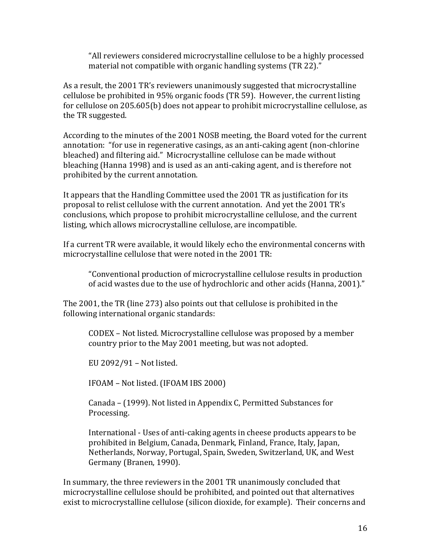"All reviewers considered microcrystalline cellulose to be a highly processed material not compatible with organic handling systems (TR 22)."

As a result, the 2001 TR's reviewers unanimously suggested that microcrystalline cellulose be prohibited in 95% organic foods (TR 59). However, the current listing for cellulose on 205.605(b) does not appear to prohibit microcrystalline cellulose, as the TR suggested.

According to the minutes of the 2001 NOSB meeting, the Board voted for the current annotation: "for use in regenerative casings, as an anti-caking agent (non-chlorine bleached) and filtering aid." Microcrystalline cellulose can be made without bleaching (Hanna 1998) and is used as an anti-caking agent, and is therefore not prohibited by the current annotation.

It appears that the Handling Committee used the 2001 TR as justification for its proposal to relist cellulose with the current annotation. And yet the 2001 TR's conclusions, which propose to prohibit microcrystalline cellulose, and the current listing, which allows microcrystalline cellulose, are incompatible.

If a current TR were available, it would likely echo the environmental concerns with microcrystalline cellulose that were noted in the 2001 TR:

"Conventional production of microcrystalline cellulose results in production of acid wastes due to the use of hydrochloric and other acids (Hanna, 2001)."

The  $2001$ , the TR (line  $273$ ) also points out that cellulose is prohibited in the following international organic standards:

CODEX – Not listed. Microcrystalline cellulose was proposed by a member country prior to the May 2001 meeting, but was not adopted.

EU 2092/91 – Not listed.

IFOAM - Not listed. (IFOAM IBS 2000)

Canada – (1999). Not listed in Appendix C, Permitted Substances for Processing.

International - Uses of anti-caking agents in cheese products appears to be prohibited in Belgium, Canada, Denmark, Finland, France, Italy, Japan, Netherlands, Norway, Portugal, Spain, Sweden, Switzerland, UK, and West Germany (Branen, 1990).

In summary, the three reviewers in the 2001 TR unanimously concluded that microcrystalline cellulose should be prohibited, and pointed out that alternatives exist to microcrystalline cellulose (silicon dioxide, for example). Their concerns and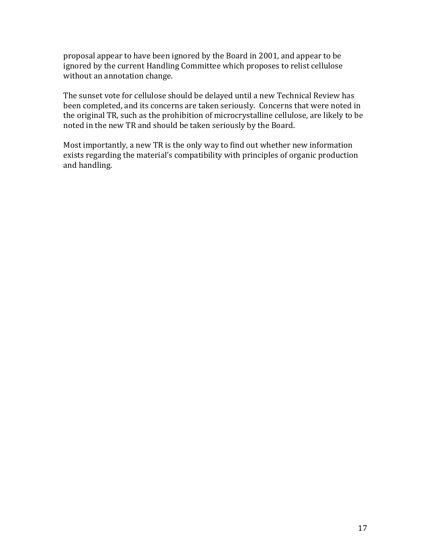proposal appear to have been ignored by the Board in 2001, and appear to be ignored by the current Handling Committee which proposes to relist cellulose without an annotation change.

The sunset vote for cellulose should be delayed until a new Technical Review has been completed, and its concerns are taken seriously. Concerns that were noted in the original TR, such as the prohibition of microcrystalline cellulose, are likely to be noted in the new TR and should be taken seriously by the Board.

Most importantly, a new TR is the only way to find out whether new information exists regarding the material's compatibility with principles of organic production and handling.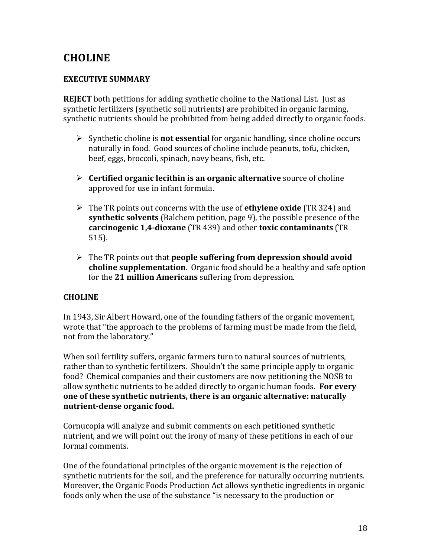## **CHOLINE**

### **EXECUTIVE SUMMARY**

**REJECT** both petitions for adding synthetic choline to the National List. Just as synthetic fertilizers (synthetic soil nutrients) are prohibited in organic farming, synthetic nutrients should be prohibited from being added directly to organic foods.

- $\triangleright$  Synthetic choline is **not essential** for organic handling, since choline occurs naturally in food. Good sources of choline include peanuts, tofu, chicken, beef, eggs, broccoli, spinach, navy beans, fish, etc.
- **EXECUTE:** Certified organic lecithin is an organic alternative source of choline approved for use in infant formula.
- $\triangleright$  The TR points out concerns with the use of **ethylene oxide** (TR 324) and **synthetic solvents** (Balchem petition, page 9), the possible presence of the **carcinogenic 1,4-dioxane** (TR 439) and other **toxic contaminants** (TR) 515).
- $\triangleright$  The TR points out that **people suffering from depression should avoid choline supplementation**. Organic food should be a healthy and safe option for the 21 million Americans suffering from depression.

### **CHOLINE**

In 1943, Sir Albert Howard, one of the founding fathers of the organic movement, wrote that "the approach to the problems of farming must be made from the field, not from the laboratory."

When soil fertility suffers, organic farmers turn to natural sources of nutrients, rather than to synthetic fertilizers. Shouldn't the same principle apply to organic food? Chemical companies and their customers are now petitioning the NOSB to allow synthetic nutrients to be added directly to organic human foods. **For every one of these synthetic nutrients, there is an organic alternative: naturally nutrient-dense organic food.** 

Cornucopia will analyze and submit comments on each petitioned synthetic nutrient, and we will point out the irony of many of these petitions in each of our formal comments.

One of the foundational principles of the organic movement is the rejection of synthetic nutrients for the soil, and the preference for naturally occurring nutrients. Moreover, the Organic Foods Production Act allows synthetic ingredients in organic foods only when the use of the substance "is necessary to the production or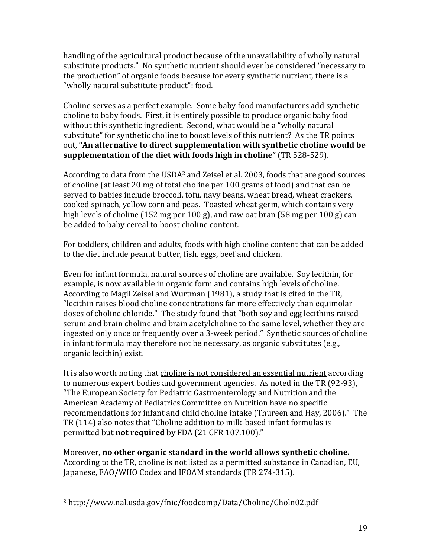handling of the agricultural product because of the unavailability of wholly natural substitute products." No synthetic nutrient should ever be considered "necessary to the production" of organic foods because for every synthetic nutrient, there is a "wholly natural substitute product": food.

Choline serves as a perfect example. Some baby food manufacturers add synthetic choline to baby foods. First, it is entirely possible to produce organic baby food without this synthetic ingredient. Second, what would be a "wholly natural" substitute" for synthetic choline to boost levels of this nutrient? As the TR points out, "An alternative to direct supplementation with synthetic choline would be **supplementation of the diet with foods high in choline"** (TR 528-529).

According to data from the USDA<sup>2</sup> and Zeisel et al. 2003, foods that are good sources of choline (at least 20 mg of total choline per 100 grams of food) and that can be served to babies include broccoli, tofu, navy beans, wheat bread, wheat crackers, cooked spinach, yellow corn and peas. Toasted wheat germ, which contains very high levels of choline (152 mg per 100 g), and raw oat bran (58 mg per 100 g) can be added to baby cereal to boost choline content.

For toddlers, children and adults, foods with high choline content that can be added to the diet include peanut butter, fish, eggs, beef and chicken.

Even for infant formula, natural sources of choline are available. Soy lecithin, for example, is now available in organic form and contains high levels of choline. According to Magil Zeisel and Wurtman (1981), a study that is cited in the TR, "lecithin raises blood choline concentrations far more effectively than equimolar doses of choline chloride." The study found that "both soy and egg lecithins raised serum and brain choline and brain acetylcholine to the same level, whether they are ingested only once or frequently over a 3-week period." Synthetic sources of choline in infant formula may therefore not be necessary, as organic substitutes (e.g.,  $\epsilon$ organic lecithin) exist.

It is also worth noting that choline is not considered an essential nutrient according to numerous expert bodies and government agencies. As noted in the TR (92-93), "The European Society for Pediatric Gastroenterology and Nutrition and the American Academy of Pediatrics Committee on Nutrition have no specific recommendations for infant and child choline intake (Thureen and Hay, 2006)." The TR (114) also notes that "Choline addition to milk-based infant formulas is permitted but **not required** by FDA (21 CFR 107.100)."

Moreover, **no other organic standard in the world allows synthetic choline.** According to the TR, choline is not listed as a permitted substance in Canadian, EU, Japanese, FAO/WHO Codex and IFOAM standards (TR 274-315).

<sup>!!!!!!!!!!!!!!!!!!!!!!!!!!!!!!!!!!!!!!!!!!!!!!!!!!!!!!!</sup> <sup>2</sup> http://www.nal.usda.gov/fnic/foodcomp/Data/Choline/Choln02.pdf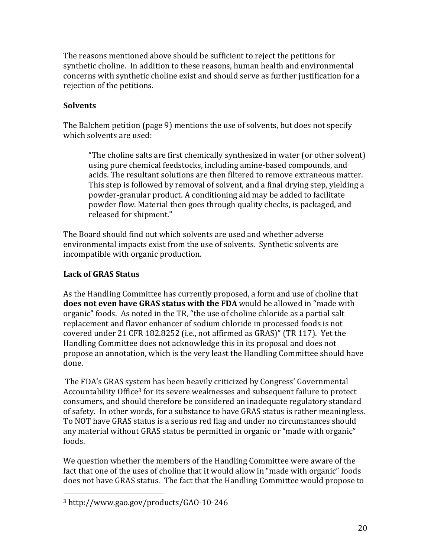The reasons mentioned above should be sufficient to reject the petitions for synthetic choline. In addition to these reasons, human health and environmental concerns with synthetic choline exist and should serve as further justification for a rejection of the petitions.

## **Solvents**

The Balchem petition (page 9) mentions the use of solvents, but does not specify which solvents are used:

"The choline salts are first chemically synthesized in water (or other solvent) using pure chemical feedstocks, including amine-based compounds, and acids. The resultant solutions are then filtered to remove extraneous matter. This step is followed by removal of solvent, and a final drying step, yielding a powder-granular product. A conditioning aid may be added to facilitate powder flow. Material then goes through quality checks, is packaged, and released for shipment."

The Board should find out which solvents are used and whether adverse environmental impacts exist from the use of solvents. Synthetic solvents are incompatible with organic production.

## Lack of **GRAS** Status

As the Handling Committee has currently proposed, a form and use of choline that **does not even have GRAS status with the FDA** would be allowed in "made with organic" foods. As noted in the TR, "the use of choline chloride as a partial salt replacement and flavor enhancer of sodium chloride in processed foods is not covered under 21 CFR 182.8252 (i.e., not affirmed as GRAS)" (TR 117). Yet the Handling Committee does not acknowledge this in its proposal and does not propose an annotation, which is the very least the Handling Committee should have done.

The FDA's GRAS system has been heavily criticized by Congress' Governmental Accountability Office<sup>3</sup> for its severe weaknesses and subsequent failure to protect consumers, and should therefore be considered an inadequate regulatory standard of safety. In other words, for a substance to have GRAS status is rather meaningless. To NOT have GRAS status is a serious red flag and under no circumstances should any material without GRAS status be permitted in organic or "made with organic" foods.

We question whether the members of the Handling Committee were aware of the fact that one of the uses of choline that it would allow in "made with organic" foods does not have GRAS status. The fact that the Handling Committee would propose to

<sup>!!!!!!!!!!!!!!!!!!!!!!!!!!!!!!!!!!!!!!!!!!!!!!!!!!!!!!!</sup> <sup>3</sup> http://www.gao.gov/products/GAO>10>246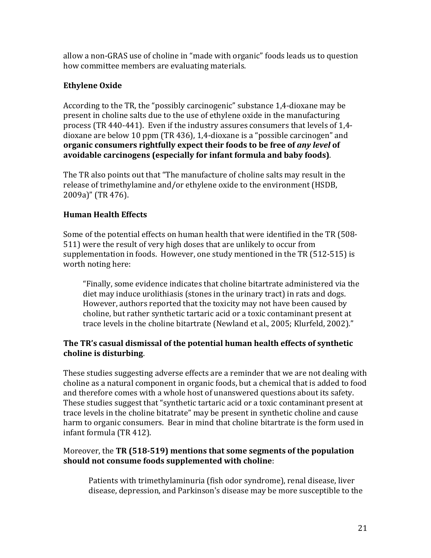allow a non-GRAS use of choline in "made with organic" foods leads us to question how committee members are evaluating materials.

## **Ethylene Oxide**

According to the TR, the "possibly carcinogenic" substance 1,4-dioxane may be present in choline salts due to the use of ethylene oxide in the manufacturing process (TR 440-441). Even if the industry assures consumers that levels of  $1.4$ dioxane are below 10 ppm (TR 436), 1,4-dioxane is a "possible carcinogen" and **organic consumers rightfully expect their foods to be free of** *any level* **of** avoidable carcinogens (especially for infant formula and baby foods).

The TR also points out that "The manufacture of choline salts may result in the release of trimethylamine and/or ethylene oxide to the environment (HSDB, 2009a)" (TR 476).

## **Human!Health!Effects**

Some of the potential effects on human health that were identified in the TR (508-511) were the result of very high doses that are unlikely to occur from supplementation in foods. However, one study mentioned in the TR (512-515) is worth noting here:

"Finally, some evidence indicates that choline bitartrate administered via the diet may induce urolithiasis (stones in the urinary tract) in rats and dogs. However, authors reported that the toxicity may not have been caused by choline, but rather synthetic tartaric acid or a toxic contaminant present at trace levels in the choline bitartrate (Newland et al., 2005; Klurfeld, 2002)."

### The TR's casual dismissal of the potential human health effects of synthetic choline is disturbing.

These studies suggesting adverse effects are a reminder that we are not dealing with choline as a natural component in organic foods, but a chemical that is added to food and therefore comes with a whole host of unanswered questions about its safety. These studies suggest that "synthetic tartaric acid or a toxic contaminant present at trace levels in the choline bitatrate" may be present in synthetic choline and cause harm to organic consumers. Bear in mind that choline bitartrate is the form used in infant formula (TR 412).

### Moreover, the **TR (518-519) mentions that some segments of the population** should not consume foods supplemented with choline:

Patients with trimethylaminuria (fish odor syndrome), renal disease, liver disease, depression, and Parkinson's disease may be more susceptible to the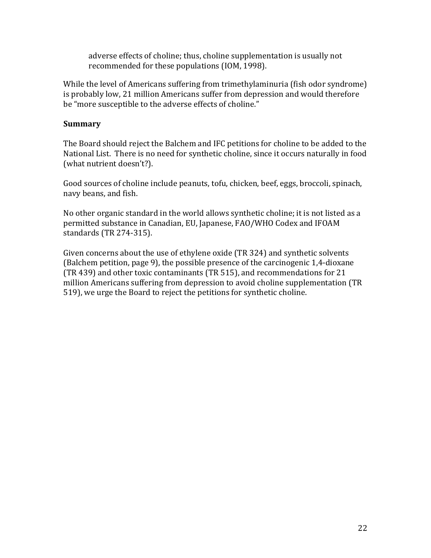adverse effects of choline; thus, choline supplementation is usually not recommended for these populations (IOM, 1998).

While the level of Americans suffering from trimethylaminuria (fish odor syndrome) is probably low, 21 million Americans suffer from depression and would therefore be "more susceptible to the adverse effects of choline."

#### **Summary**

The Board should reject the Balchem and IFC petitions for choline to be added to the National List. There is no need for synthetic choline, since it occurs naturally in food (what nutrient doesn't?).

Good sources of choline include peanuts, tofu, chicken, beef, eggs, broccoli, spinach, navy beans, and fish.

No other organic standard in the world allows synthetic choline; it is not listed as a permitted substance in Canadian, EU, Japanese, FAO/WHO Codex and IFOAM standards (TR 274-315).

Given concerns about the use of ethylene oxide (TR 324) and synthetic solvents (Balchem petition, page 9), the possible presence of the carcinogenic 1,4-dioxane (TR 439) and other toxic contaminants (TR 515), and recommendations for 21 million Americans suffering from depression to avoid choline supplementation (TR 519), we urge the Board to reject the petitions for synthetic choline.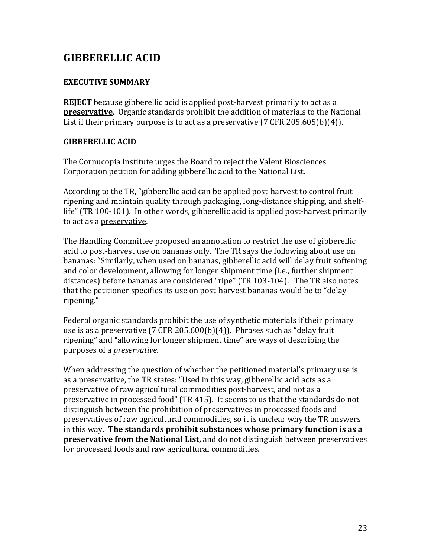## **GIBBERELLIC!ACID**

### **EXECUTIVE SUMMARY**

**REJECT** because gibberellic acid is applied post-harvest primarily to act as a **preservative**. Organic standards prohibit the addition of materials to the National List if their primary purpose is to act as a preservative (7 CFR 205.605(b)(4)).

### **GIBBERELLIC!ACID**

The Cornucopia Institute urges the Board to reject the Valent Biosciences Corporation petition for adding gibberellic acid to the National List.

According to the TR, "gibberellic acid can be applied post-harvest to control fruit ripening and maintain quality through packaging, long-distance shipping, and shelflife" (TR 100-101). In other words, gibberellic acid is applied post-harvest primarily to act as a preservative.

The Handling Committee proposed an annotation to restrict the use of gibberellic acid to post-harvest use on bananas only. The TR says the following about use on bananas: "Similarly, when used on bananas, gibberellic acid will delay fruit softening and color development, allowing for longer shipment time (i.e., further shipment distances) before bananas are considered "ripe" (TR 103-104). The TR also notes that the petitioner specifies its use on post-harvest bananas would be to "delay ripening."

Federal organic standards prohibit the use of synthetic materials if their primary use is as a preservative (7 CFR 205.600(b)(4)). Phrases such as "delay fruit ripening" and "allowing for longer shipment time" are ways of describing the purposes of a *preservative*.

When addressing the question of whether the petitioned material's primary use is as a preservative, the TR states: "Used in this way, gibberellic acid acts as a preservative of raw agricultural commodities post-harvest, and not as a preservative in processed food" (TR 415). It seems to us that the standards do not distinguish between the prohibition of preservatives in processed foods and preservatives of raw agricultural commodities, so it is unclear why the TR answers in this way. The standards prohibit substances whose primary function is as a **preservative from the National List,** and do not distinguish between preservatives for processed foods and raw agricultural commodities.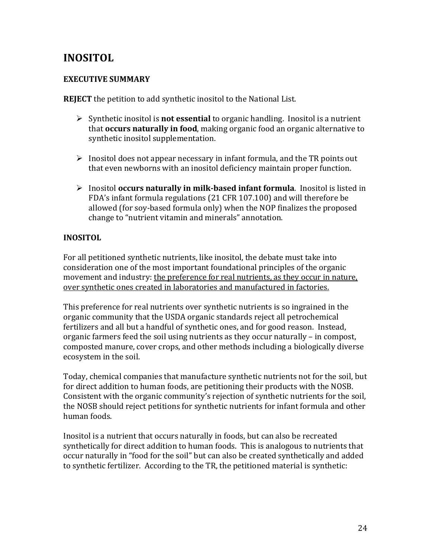## **INOSITOL!**

#### **EXECUTIVE SUMMARY**

**REJECT** the petition to add synthetic inositol to the National List.

- $\triangleright$  Synthetic inositol is **not essential** to organic handling. Inositol is a nutrient that **occurs naturally in food**, making organic food an organic alternative to synthetic inositol supplementation.
- $\triangleright$  Inositol does not appear necessary in infant formula, and the TR points out that even newborns with an inositol deficiency maintain proper function.
- Inositol **occurs naturally in milk-based infant formula**. Inositol is listed in FDA's infant formula regulations (21 CFR 107.100) and will therefore be allowed (for soy-based formula only) when the NOP finalizes the proposed change to "nutrient vitamin and minerals" annotation.

#### **INOSITOL**

For all petitioned synthetic nutrients, like inositol, the debate must take into consideration one of the most important foundational principles of the organic movement and industry: the preference for real nutrients, as they occur in nature, over synthetic ones created in laboratories and manufactured in factories.

This preference for real nutrients over synthetic nutrients is so ingrained in the organic community that the USDA organic standards reject all petrochemical fertilizers and all but a handful of synthetic ones, and for good reason. Instead, organic farmers feed the soil using nutrients as they occur naturally – in compost, composted manure, cover crops, and other methods including a biologically diverse ecosystem in the soil.

Today, chemical companies that manufacture synthetic nutrients not for the soil, but for direct addition to human foods, are petitioning their products with the NOSB. Consistent with the organic community's rejection of synthetic nutrients for the soil, the NOSB should reject petitions for synthetic nutrients for infant formula and other human foods.

Inositol is a nutrient that occurs naturally in foods, but can also be recreated synthetically for direct addition to human foods. This is analogous to nutrients that occur naturally in "food for the soil" but can also be created synthetically and added to synthetic fertilizer. According to the TR, the petitioned material is synthetic: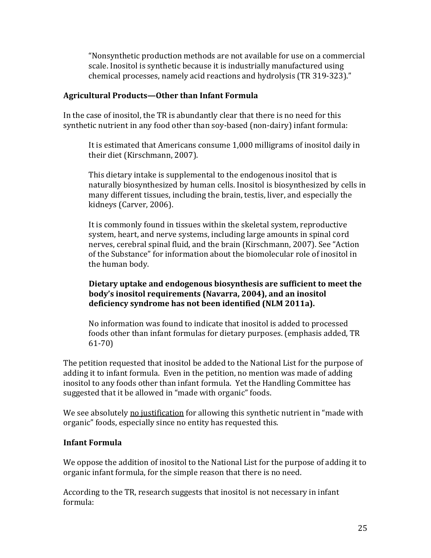"Nonsynthetic production methods are not available for use on a commercial scale. Inositol is synthetic because it is industrially manufactured using chemical processes, namely acid reactions and hydrolysis (TR 319-323)."

#### **Agricultural!Products—Other!than!Infant!Formula**

In the case of inositol, the TR is abundantly clear that there is no need for this synthetic nutrient in any food other than soy-based (non-dairy) infant formula:

It is estimated that Americans consume 1,000 milligrams of inositol daily in their diet (Kirschmann, 2007).

This dietary intake is supplemental to the endogenous inositol that is naturally biosynthesized by human cells. Inositol is biosynthesized by cells in many different tissues, including the brain, testis, liver, and especially the kidneys (Carver, 2006).

It is commonly found in tissues within the skeletal system, reproductive system, heart, and nerve systems, including large amounts in spinal cord nerves, cerebral spinal fluid, and the brain (Kirschmann, 2007). See "Action of the Substance" for information about the biomolecular role of inositol in the human body.

#### **Dietary uptake and endogenous biosynthesis are sufficient to meet the** body's inositol requirements (Navarra, 2004), and an inositol deficiency syndrome has not been identified (NLM 2011a).

No information was found to indicate that inositol is added to processed foods other than infant formulas for dietary purposes. (emphasis added, TR  $61 - 70$ 

The petition requested that inositol be added to the National List for the purpose of adding it to infant formula. Even in the petition, no mention was made of adding inositol to any foods other than infant formula. Yet the Handling Committee has suggested that it be allowed in "made with organic" foods.

We see absolutely no justification for allowing this synthetic nutrient in "made with" organic" foods, especially since no entity has requested this.

### **Infant!Formula**

We oppose the addition of inositol to the National List for the purpose of adding it to organic infant formula, for the simple reason that there is no need.

According to the TR, research suggests that inositol is not necessary in infant formula: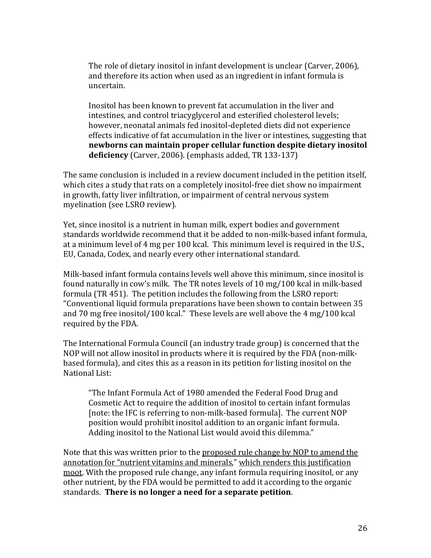The role of dietary inositol in infant development is unclear (Carver, 2006), and therefore its action when used as an ingredient in infant formula is uncertain.!

Inositol has been known to prevent fat accumulation in the liver and intestines, and control triacyglycerol and esterified cholesterol levels; however, neonatal animals fed inositol-depleted diets did not experience effects indicative of fat accumulation in the liver or intestines, suggesting that newborns can maintain proper cellular function despite dietary inositol **deficiency** (Carver, 2006). (emphasis added, TR 133-137)

The same conclusion is included in a review document included in the petition itself, which cites a study that rats on a completely inositol-free diet show no impairment in growth, fatty liver infiltration, or impairment of central nervous system myelination (see LSRO review).

Yet, since inositol is a nutrient in human milk, expert bodies and government standards worldwide recommend that it be added to non-milk-based infant formula, at a minimum level of 4 mg per 100 kcal. This minimum level is required in the U.S., EU, Canada, Codex, and nearly every other international standard.

Milk-based infant formula contains levels well above this minimum, since inositol is found naturally in cow's milk. The TR notes levels of  $10 \text{ mg}/100$  kcal in milk-based formula (TR 451). The petition includes the following from the LSRO report: "Conventional liquid formula preparations have been shown to contain between 35" and 70 mg free inositol/100 kcal." These levels are well above the  $4 \text{ mg}/100 \text{ kcal}$ required by the FDA.

The International Formula Council (an industry trade group) is concerned that the NOP will not allow inositol in products where it is required by the FDA (non-milkbased formula), and cites this as a reason in its petition for listing inositol on the National List:

"The Infant Formula Act of 1980 amended the Federal Food Drug and Cosmetic Act to require the addition of inositol to certain infant formulas [note: the IFC is referring to non-milk-based formula]. The current NOP position would prohibit inositol addition to an organic infant formula. Adding inositol to the National List would avoid this dilemma."

Note that this was written prior to the proposed rule change by NOP to amend the annotation for "nutrient vitamins and minerals," which renders this justification moot. With the proposed rule change, any infant formula requiring inositol, or any other nutrient, by the FDA would be permitted to add it according to the organic standards. **There is no longer a need for a separate petition**.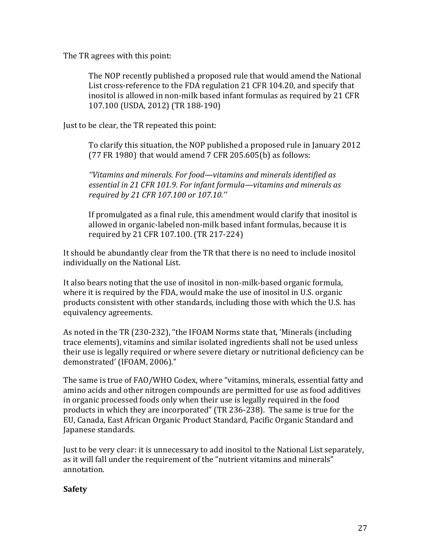The TR agrees with this point:

The NOP recently published a proposed rule that would amend the National List cross-reference to the FDA regulation 21 CFR 104.20, and specify that inositol is allowed in non-milk based infant formulas as required by 21 CFR 107.100 (USDA, 2012) (TR 188-190)

Just to be clear, the TR repeated this point:

To clarify this situation, the NOP published a proposed rule in January 2012 (77 FR 1980) that would amend 7 CFR 205.605(b) as follows:

*''Vitamins,and,minerals.,For,food—vitamins,and,minerals,identified,as, essential,in,21,CFR,101.9.,For infant,formula—vitamins,and,minerals,as, required,by,21,CFR,107.100,or,107.10.'',*

If promulgated as a final rule, this amendment would clarify that inositol is allowed in organic-labeled non-milk based infant formulas, because it is required by 21 CFR 107.100. (TR 217-224)

It should be abundantly clear from the TR that there is no need to include inositol individually on the National List.

It also bears noting that the use of inositol in non-milk-based organic formula, where it is required by the FDA, would make the use of inositol in U.S. organic products consistent with other standards, including those with which the U.S. has equivalency agreements.

As noted in the TR (230-232), "the IFOAM Norms state that, 'Minerals (including trace elements), vitamins and similar isolated ingredients shall not be used unless their use is legally required or where severe dietary or nutritional deficiency can be demonstrated' (IFOAM, 2006)."

The same is true of FAO/WHO Codex, where "vitamins, minerals, essential fatty and amino acids and other nitrogen compounds are permitted for use as food additives in organic processed foods only when their use is legally required in the food products in which they are incorporated" (TR 236-238). The same is true for the EU, Canada, East African Organic Product Standard, Pacific Organic Standard and Japanese standards.

Just to be very clear: it is unnecessary to add inositol to the National List separately. as it will fall under the requirement of the "nutrient vitamins and minerals" annotation.

### **Safety!**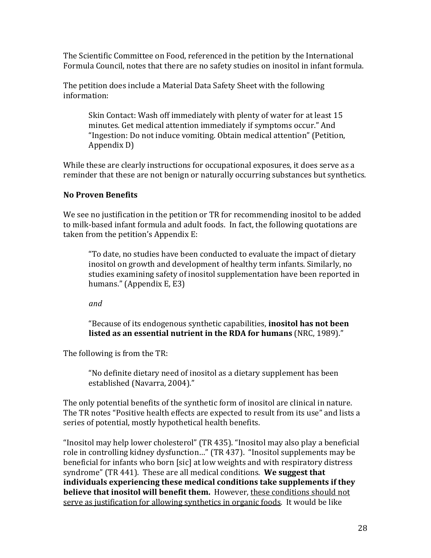The Scientific Committee on Food, referenced in the petition by the International Formula Council, notes that there are no safety studies on inositol in infant formula.

The petition does include a Material Data Safety Sheet with the following information:

Skin Contact: Wash off immediately with plenty of water for at least 15 minutes. Get medical attention immediately if symptoms occur." And "Ingestion: Do not induce vomiting. Obtain medical attention" (Petition, Appendix D)

While these are clearly instructions for occupational exposures, it does serve as a reminder that these are not benign or naturally occurring substances but synthetics.

### **No!Proven!Benefits**

We see no justification in the petition or TR for recommending inositol to be added to milk-based infant formula and adult foods. In fact, the following quotations are taken from the petition's Appendix E:

"To date, no studies have been conducted to evaluate the impact of dietary inositol on growth and development of healthy term infants. Similarly, no studies examining safety of inositol supplementation have been reported in humans."  $(A$ ppendix E, E3)

*and,*

"Because of its endogenous synthetic capabilities, **inositol has not been listed as an essential nutrient in the RDA for humans** (NRC, 1989)."

The following is from the TR:

"No definite dietary need of inositol as a dietary supplement has been established (Navarra, 2004)."

The only potential benefits of the synthetic form of inositol are clinical in nature. The TR notes "Positive health effects are expected to result from its use" and lists a series of potential, mostly hypothetical health benefits.

"Inositol may help lower cholesterol" (TR 435). "Inositol may also play a beneficial role in controlling kidney dysfunction..." (TR 437). "Inositol supplements may be beneficial for infants who born [sic] at low weights and with respiratory distress syndrome" (TR 441). These are all medical conditions. We suggest that individuals experiencing these medical conditions take supplements if they **believe that inositol will benefit them.** However, these conditions should not serve as justification for allowing synthetics in organic foods. It would be like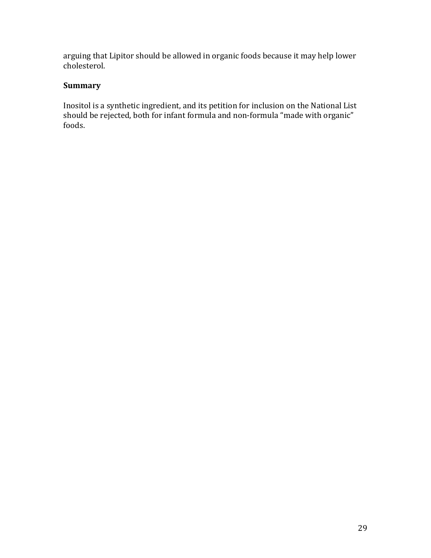arguing that Lipitor should be allowed in organic foods because it may help lower cholesterol.

#### **Summary**

Inositol is a synthetic ingredient, and its petition for inclusion on the National List should be rejected, both for infant formula and non-formula "made with organic" foods.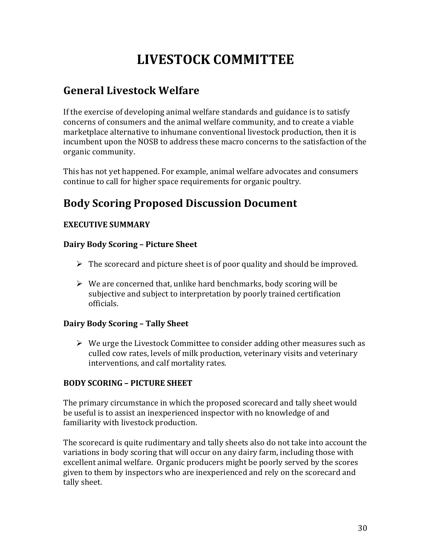# **LIVESTOCK!COMMITTEE**

## **General!Livestock!Welfare**

If the exercise of developing animal welfare standards and guidance is to satisfy concerns of consumers and the animal welfare community, and to create a viable marketplace alternative to inhumane conventional livestock production, then it is incumbent upon the NOSB to address these macro concerns to the satisfaction of the organic community.

This has not yet happened. For example, animal welfare advocates and consumers continue to call for higher space requirements for organic poultry.

## **Body!Scoring!Proposed!Discussion!Document**

## **EXECUTIVE SUMMARY**

### **Dairy Body Scoring - Picture Sheet**

- $\triangleright$  The scorecard and picture sheet is of poor quality and should be improved.
- $\triangleright$  We are concerned that, unlike hard benchmarks, body scoring will be subjective and subject to interpretation by poorly trained certification officials.

### **Dairy Body Scoring - Tally Sheet**

 $\triangleright$  We urge the Livestock Committee to consider adding other measures such as culled cow rates, levels of milk production, veterinary visits and veterinary interventions, and calf mortality rates.

### **BODY SCORING – PICTURE SHEET**

The primary circumstance in which the proposed scorecard and tally sheet would be useful is to assist an inexperienced inspector with no knowledge of and familiarity with livestock production.

The scorecard is quite rudimentary and tally sheets also do not take into account the variations in body scoring that will occur on any dairy farm, including those with excellent animal welfare. Organic producers might be poorly served by the scores given to them by inspectors who are inexperienced and rely on the scorecard and tally sheet.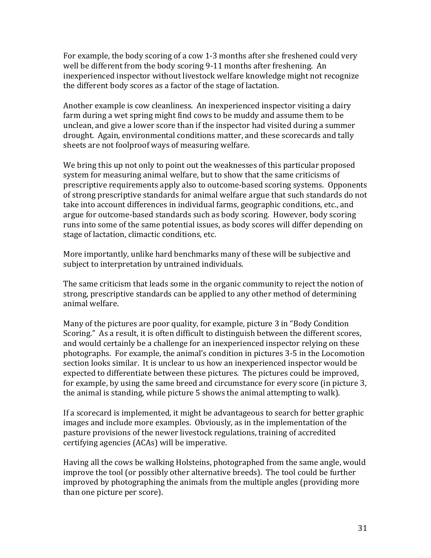For example, the body scoring of a cow 1-3 months after she freshened could very well be different from the body scoring 9-11 months after freshening. An inexperienced inspector without livestock welfare knowledge might not recognize the different body scores as a factor of the stage of lactation.

Another example is cow cleanliness. An inexperienced inspector visiting a dairy farm during a wet spring might find cows to be muddy and assume them to be unclean, and give a lower score than if the inspector had visited during a summer drought. Again, environmental conditions matter, and these scorecards and tally sheets are not foolproof ways of measuring welfare.

We bring this up not only to point out the weaknesses of this particular proposed system for measuring animal welfare, but to show that the same criticisms of prescriptive requirements apply also to outcome-based scoring systems. Opponents of strong prescriptive standards for animal welfare argue that such standards do not take into account differences in individual farms, geographic conditions, etc., and argue for outcome-based standards such as body scoring. However, body scoring runs into some of the same potential issues, as body scores will differ depending on stage of lactation, climactic conditions, etc.

More importantly, unlike hard benchmarks many of these will be subjective and subject to interpretation by untrained individuals.

The same criticism that leads some in the organic community to reject the notion of strong, prescriptive standards can be applied to any other method of determining animal welfare.

Many of the pictures are poor quality, for example, picture 3 in "Body Condition" Scoring." As a result, it is often difficult to distinguish between the different scores, and would certainly be a challenge for an inexperienced inspector relying on these photographs. For example, the animal's condition in pictures 3-5 in the Locomotion section looks similar. It is unclear to us how an inexperienced inspector would be expected to differentiate between these pictures. The pictures could be improved, for example, by using the same breed and circumstance for every score (in picture 3, the animal is standing, while picture 5 shows the animal attempting to walk).

If a scorecard is implemented, it might be advantageous to search for better graphic images and include more examples. Obviously, as in the implementation of the pasture provisions of the newer livestock regulations, training of accredited certifying agencies (ACAs) will be imperative.

Having all the cows be walking Holsteins, photographed from the same angle, would improve the tool (or possibly other alternative breeds). The tool could be further improved by photographing the animals from the multiple angles (providing more than one picture per score).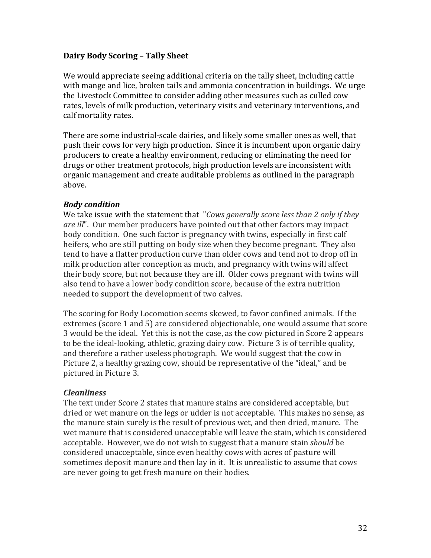#### **Dairy Body Scoring - Tally Sheet**

We would appreciate seeing additional criteria on the tally sheet, including cattle with mange and lice, broken tails and ammonia concentration in buildings. We urge the Livestock Committee to consider adding other measures such as culled cow rates, levels of milk production, veterinary visits and veterinary interventions, and calf mortality rates.

There are some industrial-scale dairies, and likely some smaller ones as well, that push their cows for very high production. Since it is incumbent upon organic dairy producers to create a healthy environment, reducing or eliminating the need for drugs or other treatment protocols, high production levels are inconsistent with organic management and create auditable problems as outlined in the paragraph above.

#### *Body+condition*

We take issue with the statement that "*Cows generally score less than 2 only if they are ill*". Our member producers have pointed out that other factors may impact body condition. One such factor is pregnancy with twins, especially in first calf heifers, who are still putting on body size when they become pregnant. They also tend to have a flatter production curve than older cows and tend not to drop off in milk production after conception as much, and pregnancy with twins will affect their body score, but not because they are ill. Older cows pregnant with twins will also tend to have a lower body condition score, because of the extra nutrition needed to support the development of two calves.

The scoring for Body Locomotion seems skewed, to favor confined animals. If the extremes (score 1 and 5) are considered objectionable, one would assume that score 3 would be the ideal. Yet this is not the case, as the cow pictured in Score 2 appears to be the ideal-looking, athletic, grazing dairy cow. Picture 3 is of terrible quality, and therefore a rather useless photograph. We would suggest that the cow in Picture 2, a healthy grazing cow, should be representative of the "ideal," and be pictured in Picture 3.

#### *Cleanliness*

The text under Score 2 states that manure stains are considered acceptable, but dried or wet manure on the legs or udder is not acceptable. This makes no sense, as the manure stain surely is the result of previous wet, and then dried, manure. The wet manure that is considered unacceptable will leave the stain, which is considered acceptable. However, we do not wish to suggest that a manure stain *should* be considered unacceptable, since even healthy cows with acres of pasture will sometimes deposit manure and then lay in it. It is unrealistic to assume that cows are never going to get fresh manure on their bodies.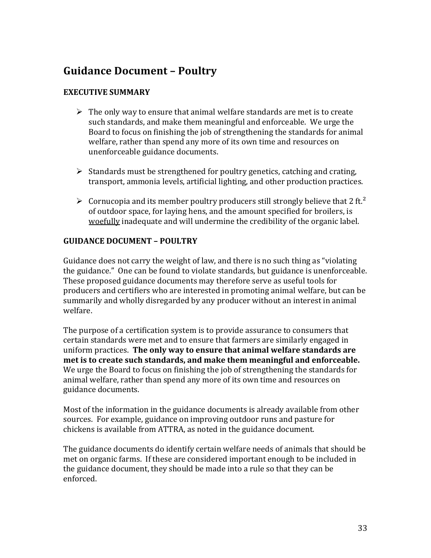## **Guidance Document - Poultry**

### **EXECUTIVE SUMMARY**

- $\triangleright$  The only way to ensure that animal welfare standards are met is to create such standards, and make them meaningful and enforceable. We urge the Board to focus on finishing the job of strengthening the standards for animal welfare, rather than spend any more of its own time and resources on unenforceable guidance documents.
- $\triangleright$  Standards must be strengthened for poultry genetics, catching and crating, transport, ammonia levels, artificial lighting, and other production practices.
- $\triangleright$  Cornucopia and its member poultry producers still strongly believe that 2 ft.<sup>2</sup> of outdoor space, for laying hens, and the amount specified for broilers, is woefully inadequate and will undermine the credibility of the organic label.

### **GUIDANCE DOCUMENT – POULTRY**

Guidance does not carry the weight of law, and there is no such thing as "violating" the guidance." One can be found to violate standards, but guidance is unenforceable. These proposed guidance documents may therefore serve as useful tools for producers and certifiers who are interested in promoting animal welfare, but can be summarily and wholly disregarded by any producer without an interest in animal welfare.

The purpose of a certification system is to provide assurance to consumers that certain standards were met and to ensure that farmers are similarly engaged in uniform practices. The only way to ensure that animal welfare standards are met is to create such standards, and make them meaningful and enforceable. We urge the Board to focus on finishing the job of strengthening the standards for animal welfare, rather than spend any more of its own time and resources on guidance documents.

Most of the information in the guidance documents is already available from other sources. For example, guidance on improving outdoor runs and pasture for chickens is available from ATTRA, as noted in the guidance document.

The guidance documents do identify certain welfare needs of animals that should be met on organic farms. If these are considered important enough to be included in the guidance document, they should be made into a rule so that they can be enforced.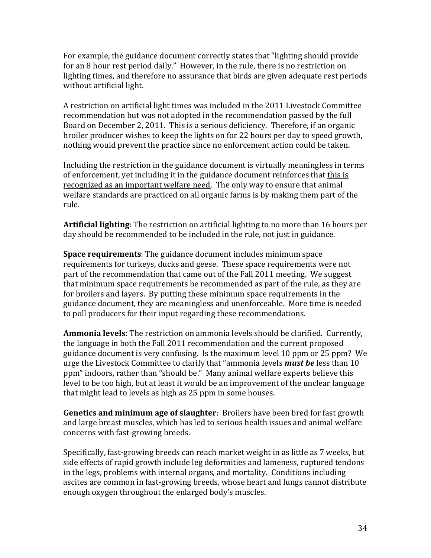For example, the guidance document correctly states that "lighting should provide" for an 8 hour rest period daily." However, in the rule, there is no restriction on lighting times, and therefore no assurance that birds are given adequate rest periods without artificial light.

A restriction on artificial light times was included in the 2011 Livestock Committee recommendation but was not adopted in the recommendation passed by the full Board on December 2, 2011. This is a serious deficiency. Therefore, if an organic broiler producer wishes to keep the lights on for 22 hours per day to speed growth, nothing would prevent the practice since no enforcement action could be taken.

Including the restriction in the guidance document is virtually meaningless in terms of enforcement, yet including it in the guidance document reinforces that this is recognized as an important welfare need. The only way to ensure that animal welfare standards are practiced on all organic farms is by making them part of the rule.

**Artificial lighting**: The restriction on artificial lighting to no more than 16 hours per day should be recommended to be included in the rule, not just in guidance.

**Space requirements**: The guidance document includes minimum space requirements for turkeys, ducks and geese. These space requirements were not part of the recommendation that came out of the Fall 2011 meeting. We suggest that minimum space requirements be recommended as part of the rule, as they are for broilers and layers. By putting these minimum space requirements in the guidance document, they are meaningless and unenforceable. More time is needed to poll producers for their input regarding these recommendations.

**Ammonia levels**: The restriction on ammonia levels should be clarified. Currently, the language in both the Fall 2011 recommendation and the current proposed guidance document is very confusing. Is the maximum level 10 ppm or 25 ppm? We urge the Livestock Committee to clarify that "ammonia levels **must be** less than 10 ppm" indoors, rather than "should be." Many animal welfare experts believe this level to be too high, but at least it would be an improvement of the unclear language that might lead to levels as high as 25 ppm in some houses.

**Genetics and minimum age of slaughter**: Broilers have been bred for fast growth and large breast muscles, which has led to serious health issues and animal welfare concerns with fast-growing breeds.

Specifically, fast-growing breeds can reach market weight in as little as 7 weeks, but side effects of rapid growth include leg deformities and lameness, ruptured tendons in the legs, problems with internal organs, and mortality. Conditions including ascites are common in fast-growing breeds, whose heart and lungs cannot distribute enough oxygen throughout the enlarged body's muscles.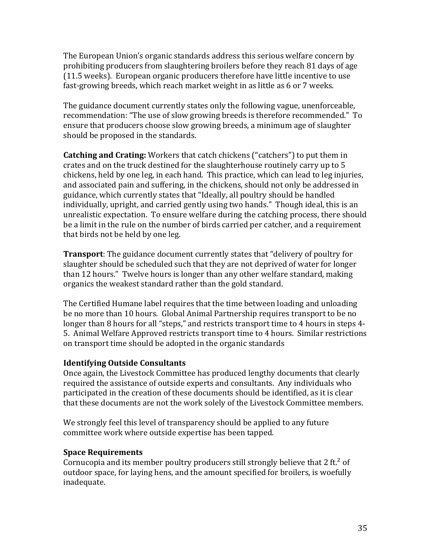The European Union's organic standards address this serious welfare concern by prohibiting producers from slaughtering broilers before they reach 81 days of age  $(11.5 \text{ weeks})$ . European organic producers therefore have little incentive to use fast-growing breeds, which reach market weight in as little as 6 or 7 weeks.

The guidance document currently states only the following vague, unenforceable. recommendation: "The use of slow growing breeds is therefore recommended." To ensure that producers choose slow growing breeds, a minimum age of slaughter should be proposed in the standards.

**Catching and Crating:** Workers that catch chickens ("catchers") to put them in crates and on the truck destined for the slaughterhouse routinely carry up to 5 chickens, held by one leg, in each hand. This practice, which can lead to leg injuries, and associated pain and suffering, in the chickens, should not only be addressed in guidance, which currently states that "Ideally, all poultry should be handled individually, upright, and carried gently using two hands." Though ideal, this is an unrealistic expectation. To ensure welfare during the catching process, there should be a limit in the rule on the number of birds carried per catcher, and a requirement that birds not be held by one leg.

**Transport**: The guidance document currently states that "delivery of poultry for" slaughter should be scheduled such that they are not deprived of water for longer than 12 hours." Twelve hours is longer than any other welfare standard, making organics the weakest standard rather than the gold standard.

The Certified Humane label requires that the time between loading and unloading be no more than 10 hours. Global Animal Partnership requires transport to be no longer than 8 hours for all "steps," and restricts transport time to 4 hours in steps 4-5. Animal Welfare Approved restricts transport time to 4 hours. Similar restrictions on transport time should be adopted in the organic standards

#### **Identifying!Outside!Consultants**

Once again, the Livestock Committee has produced lengthy documents that clearly required the assistance of outside experts and consultants. Any individuals who participated in the creation of these documents should be identified, as it is clear that these documents are not the work solely of the Livestock Committee members.

We strongly feel this level of transparency should be applied to any future committee work where outside expertise has been tapped.

### **Space!Requirements**

Cornucopia and its member poultry producers still strongly believe that 2 ft.<sup>2</sup> of outdoor space, for laying hens, and the amount specified for broilers, is woefully inadequate.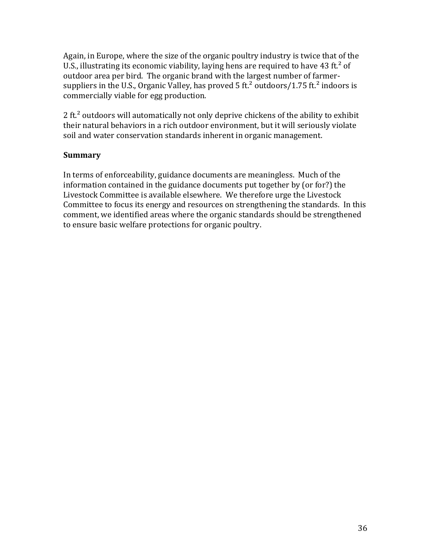Again, in Europe, where the size of the organic poultry industry is twice that of the U.S., illustrating its economic viability, laying hens are required to have 43 ft.<sup>2</sup> of outdoor area per bird. The organic brand with the largest number of farmersuppliers in the U.S., Organic Valley, has proved  $5$  ft.<sup>2</sup> outdoors/1.75 ft.<sup>2</sup> indoors is commercially viable for egg production.

2 ft.<sup>2</sup> outdoors will automatically not only deprive chickens of the ability to exhibit their natural behaviors in a rich outdoor environment, but it will seriously violate soil and water conservation standards inherent in organic management.

#### **Summary!**

In terms of enforceability, guidance documents are meaningless. Much of the information contained in the guidance documents put together by (or for?) the Livestock Committee is available elsewhere. We therefore urge the Livestock Committee to focus its energy and resources on strengthening the standards. In this comment, we identified areas where the organic standards should be strengthened to ensure basic welfare protections for organic poultry.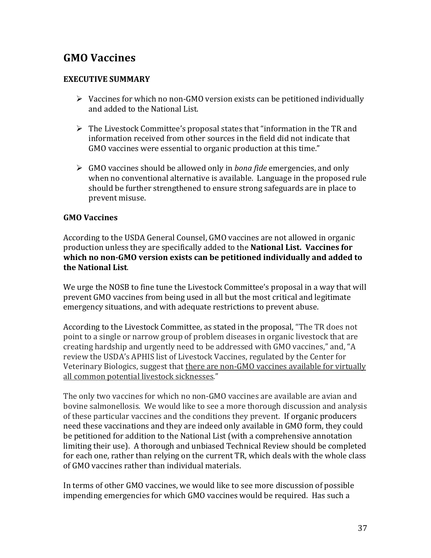## **GMO!Vaccines**

#### **EXECUTIVE SUMMARY**

- $\triangleright$  Vaccines for which no non-GMO version exists can be petitioned individually and added to the National List.
- $\triangleright$  The Livestock Committee's proposal states that "information in the TR and information received from other sources in the field did not indicate that GMO vaccines were essential to organic production at this time."
- $\triangleright$  GMO vaccines should be allowed only in *bona fide* emergencies, and only when no conventional alternative is available. Language in the proposed rule should be further strengthened to ensure strong safeguards are in place to prevent misuse.

#### **GMO!Vaccines**

According to the USDA General Counsel, GMO vaccines are not allowed in organic production unless they are specifically added to the **National List. Vaccines for** which no non-GMO version exists can be petitioned individually and added to **the National List.** 

We urge the NOSB to fine tune the Livestock Committee's proposal in a way that will prevent GMO vaccines from being used in all but the most critical and legitimate emergency situations, and with adequate restrictions to prevent abuse.

According to the Livestock Committee, as stated in the proposal, "The TR does not point to a single or narrow group of problem diseases in organic livestock that are creating hardship and urgently need to be addressed with GMO vaccines," and, "A review the USDA's APHIS list of Livestock Vaccines, regulated by the Center for Veterinary Biologics, suggest that there are non-GMO vaccines available for virtually all common potential livestock sicknesses."

The only two vaccines for which no non-GMO vaccines are available are avian and bovine salmonellosis. We would like to see a more thorough discussion and analysis of these particular vaccines and the conditions they prevent. If organic producers need these vaccinations and they are indeed only available in GMO form, they could be petitioned for addition to the National List (with a comprehensive annotation limiting their use). A thorough and unbiased Technical Review should be completed for each one, rather than relying on the current TR, which deals with the whole class of GMO vaccines rather than individual materials.

In terms of other GMO vaccines, we would like to see more discussion of possible impending emergencies for which GMO vaccines would be required. Has such a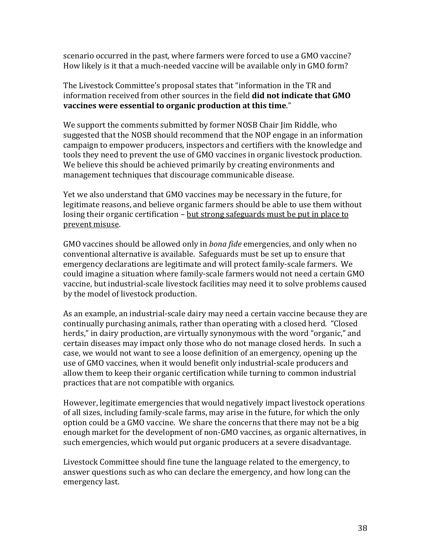scenario occurred in the past, where farmers were forced to use a GMO vaccine? How likely is it that a much-needed vaccine will be available only in GMO form?

The Livestock Committee's proposal states that "information in the TR and information received from other sources in the field **did not indicate that GMO** vaccines were essential to organic production at this time."

We support the comments submitted by former NOSB Chair Jim Riddle, who suggested that the NOSB should recommend that the NOP engage in an information campaign to empower producers, inspectors and certifiers with the knowledge and tools they need to prevent the use of GMO vaccines in organic livestock production. We believe this should be achieved primarily by creating environments and management techniques that discourage communicable disease.

Yet we also understand that GMO vaccines may be necessary in the future, for legitimate reasons, and believe organic farmers should be able to use them without losing their organic certification – but strong safeguards must be put in place to prevent misuse.

GMO vaccines should be allowed only in *bona fide* emergencies, and only when no conventional alternative is available. Safeguards must be set up to ensure that emergency declarations are legitimate and will protect family-scale farmers. We could imagine a situation where family-scale farmers would not need a certain GMO vaccine, but industrial-scale livestock facilities may need it to solve problems caused by the model of livestock production.

As an example, an industrial-scale dairy may need a certain vaccine because they are continually purchasing animals, rather than operating with a closed herd. "Closed herds," in dairy production, are virtually synonymous with the word "organic," and certain diseases may impact only those who do not manage closed herds. In such a case, we would not want to see a loose definition of an emergency, opening up the use of GMO vaccines, when it would benefit only industrial-scale producers and allow them to keep their organic certification while turning to common industrial practices that are not compatible with organics.

However, legitimate emergencies that would negatively impact livestock operations of all sizes, including family-scale farms, may arise in the future, for which the only option could be a GMO vaccine. We share the concerns that there may not be a big enough market for the development of non-GMO vaccines, as organic alternatives, in such emergencies, which would put organic producers at a severe disadvantage.

Livestock Committee should fine tune the language related to the emergency, to answer questions such as who can declare the emergency, and how long can the emergency last.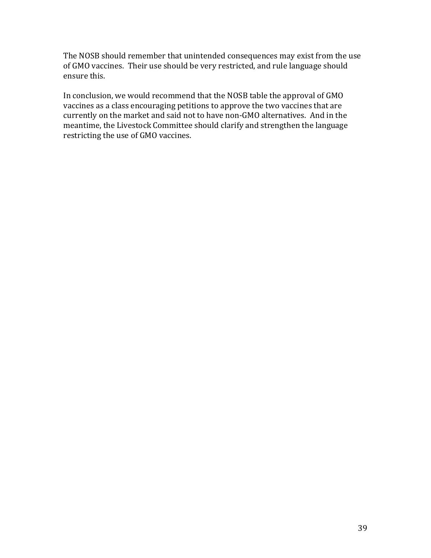The NOSB should remember that unintended consequences may exist from the use of GMO vaccines. Their use should be very restricted, and rule language should ensure this.

In conclusion, we would recommend that the NOSB table the approval of GMO vaccines as a class encouraging petitions to approve the two vaccines that are currently on the market and said not to have non-GMO alternatives. And in the meantime, the Livestock Committee should clarify and strengthen the language restricting the use of GMO vaccines.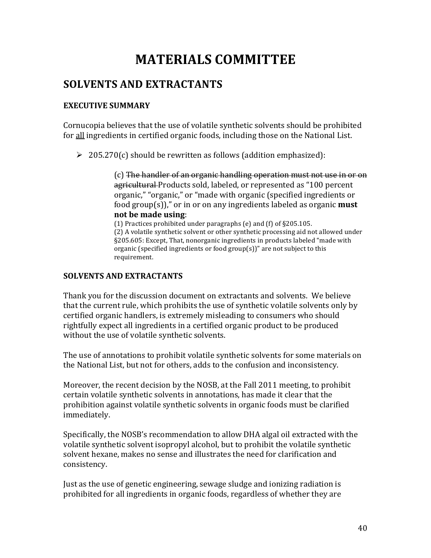# **MATERIALS!COMMITTEE**

## **SOLVENTS AND EXTRACTANTS**

#### **EXECUTIVE SUMMARY**

Cornucopia believes that the use of volatile synthetic solvents should be prohibited for all ingredients in certified organic foods, including those on the National List.

 $\geq 205.270(c)$  should be rewritten as follows (addition emphasized):

 $(c)$  The handler of an organic handling operation must not use in or on agricultural Products sold, labeled, or represented as "100 percent" organic," "organic," or "made with organic (specified ingredients or food  $group(s)$ ," or in or on any ingredients labeled as organic **must not be made using:** 

(1) Practices prohibited under paragraphs (e) and (f) of  $\S 205.105$ . (2) A volatile synthetic solvent or other synthetic processing aid not allowed under §205.605: Except, That, nonorganic ingredients in products labeled "made with organic (specified ingredients or food  $group(s)]$ " are not subject to this requirement.

#### **SOLVENTS AND EXTRACTANTS**

Thank you for the discussion document on extractants and solvents. We believe that the current rule, which prohibits the use of synthetic volatile solvents only by certified organic handlers, is extremely misleading to consumers who should rightfully expect all ingredients in a certified organic product to be produced without the use of volatile synthetic solvents.

The use of annotations to prohibit volatile synthetic solvents for some materials on the National List, but not for others, adds to the confusion and inconsistency.

Moreover, the recent decision by the NOSB, at the Fall 2011 meeting, to prohibit certain volatile synthetic solvents in annotations, has made it clear that the prohibition against volatile synthetic solvents in organic foods must be clarified immediately.

Specifically, the NOSB's recommendation to allow DHA algal oil extracted with the volatile synthetic solvent isopropyl alcohol, but to prohibit the volatile synthetic solvent hexane, makes no sense and illustrates the need for clarification and consistency.

Just as the use of genetic engineering, sewage sludge and ionizing radiation is prohibited for all ingredients in organic foods, regardless of whether they are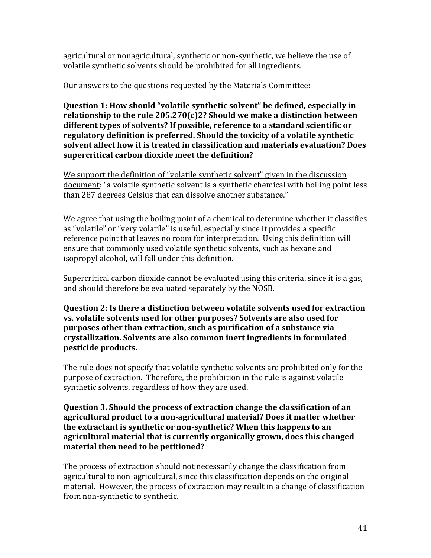agricultural or nonagricultural, synthetic or non-synthetic, we believe the use of volatile synthetic solvents should be prohibited for all ingredients.

Our answers to the questions requested by the Materials Committee:

**Question 1: How should "volatile synthetic solvent" be defined, especially in** relationship to the rule  $205.270(c)2$ ? Should we make a distinction between different types of solvents? If possible, reference to a standard scientific or regulatory definition is preferred. Should the toxicity of a volatile synthetic solvent affect how it is treated in classification and materials evaluation? Does supercritical carbon dioxide meet the definition?

We support the definition of "volatile synthetic solvent" given in the discussion document: "a volatile synthetic solvent is a synthetic chemical with boiling point less than 287 degrees Celsius that can dissolve another substance."

We agree that using the boiling point of a chemical to determine whether it classifies as "volatile" or "very volatile" is useful, especially since it provides a specific reference point that leaves no room for interpretation. Using this definition will ensure that commonly used volatile synthetic solvents, such as hexane and isopropyl alcohol, will fall under this definition.

Supercritical carbon dioxide cannot be evaluated using this criteria, since it is a gas, and should therefore be evaluated separately by the NOSB.

**Question 2: Is there a distinction between volatile solvents used for extraction** vs. volatile solvents used for other purposes? Solvents are also used for **purposes other than extraction, such as purification of a substance via** crystallization. Solvents are also common inert ingredients in formulated **pesticide!products.**

The rule does not specify that volatile synthetic solvents are prohibited only for the purpose of extraction. Therefore, the prohibition in the rule is against volatile synthetic solvents, regardless of how they are used.

**Question 3. Should the process of extraction change the classification of an** agricultural product to a non-agricultural material? Does it matter whether the extractant is synthetic or non-synthetic? When this happens to an agricultural material that is currently organically grown, does this changed material then need to be petitioned?

The process of extraction should not necessarily change the classification from agricultural to non-agricultural, since this classification depends on the original material. However, the process of extraction may result in a change of classification from non-synthetic to synthetic.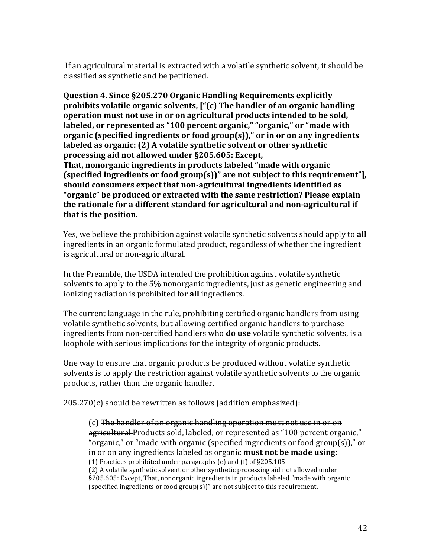If an agricultural material is extracted with a volatile synthetic solvent, it should be classified as synthetic and be petitioned.

**Question 4. Since §205.270 Organic Handling Requirements explicitly prohibits volatile organic solvents, ["(c) The handler of an organic handling operation must not use in or on agricultural products intended to be sold,** labeled, or represented as "100 percent organic," "organic," or "made with **organic (specified ingredients or food group(s))," or in or on any ingredients** labeled as organic: (2) A volatile synthetic solvent or other synthetic processing aid not allowed under §205.605: Except, **That, nonorganic ingredients in products labeled "made with organic" (specified ingredients or food group(s))" are not subject to this requirement"**, should consumers expect that non-agricultural ingredients identified as "organic" be produced or extracted with the same restriction? Please explain the rationale for a different standard for agricultural and non-agricultural if **that is the position.** 

Yes, we believe the prohibition against volatile synthetic solvents should apply to all ingredients in an organic formulated product, regardless of whether the ingredient is agricultural or non-agricultural.

In the Preamble, the USDA intended the prohibition against volatile synthetic solvents to apply to the  $5\%$  nonorganic ingredients, just as genetic engineering and ionizing radiation is prohibited for **all** ingredients.

The current language in the rule, prohibiting certified organic handlers from using volatile synthetic solvents, but allowing certified organic handlers to purchase ingredients from non-certified handlers who **do use** volatile synthetic solvents, is a loophole with serious implications for the integrity of organic products.

One way to ensure that organic products be produced without volatile synthetic solvents is to apply the restriction against volatile synthetic solvents to the organic products, rather than the organic handler.

 $205.270(c)$  should be rewritten as follows (addition emphasized):

 $(c)$  The handler of an organic handling operation must not use in or on agricultural Products sold, labeled, or represented as "100 percent organic," "organic," or "made with organic (specified ingredients or food group(s))," or in or on any ingredients labeled as organic **must not be made using**: (1) Practices prohibited under paragraphs (e) and (f) of  $\S205.105$ . (2) A volatile synthetic solvent or other synthetic processing aid not allowed under §205.605: Except, That, nonorganic ingredients in products labeled "made with organic (specified ingredients or food group(s))" are not subject to this requirement.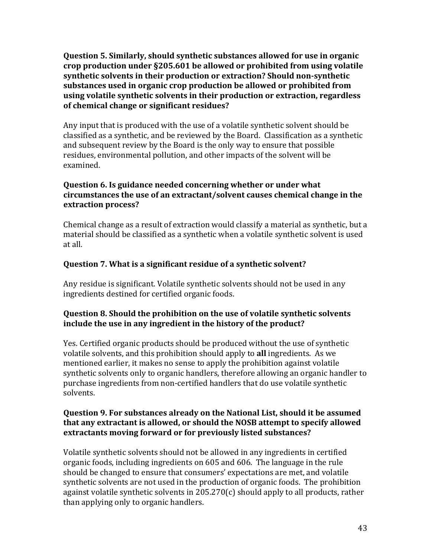**Question 5. Similarly, should synthetic substances allowed for use in organic** crop production under §205.601 be allowed or prohibited from using volatile synthetic solvents in their production or extraction? Should non-synthetic substances used in organic crop production be allowed or prohibited from using volatile synthetic solvents in their production or extraction, regardless **of chemical change or significant residues?** 

Any input that is produced with the use of a volatile synthetic solvent should be classified as a synthetic, and be reviewed by the Board. Classification as a synthetic and subsequent review by the Board is the only way to ensure that possible residues, environmental pollution, and other impacts of the solvent will be examined.

#### **Question 6. Is guidance needed concerning whether or under what circumstances the use of an extractant/solvent causes chemical change in the extraction!process?**

Chemical change as a result of extraction would classify a material as synthetic, but a material should be classified as a synthetic when a volatile synthetic solvent is used at all.

## **Question 7. What is a significant residue of a synthetic solvent?**

Any residue is significant. Volatile synthetic solvents should not be used in any ingredients destined for certified organic foods.

### **Question 8. Should the prohibition on the use of volatile synthetic solvents** include the use in any ingredient in the history of the product?

Yes. Certified organic products should be produced without the use of synthetic volatile solvents, and this prohibition should apply to **all** ingredients. As we mentioned earlier, it makes no sense to apply the prohibition against volatile synthetic solvents only to organic handlers, therefore allowing an organic handler to purchase ingredients from non-certified handlers that do use volatile synthetic solvents.

#### **Question 9. For substances already on the National List, should it be assumed** that any extractant is allowed, or should the NOSB attempt to specify allowed extractants moving forward or for previously listed substances?

Volatile synthetic solvents should not be allowed in any ingredients in certified organic foods, including ingredients on 605 and 606. The language in the rule should be changed to ensure that consumers' expectations are met, and volatile synthetic solvents are not used in the production of organic foods. The prohibition against volatile synthetic solvents in  $205.270(c)$  should apply to all products, rather than applying only to organic handlers.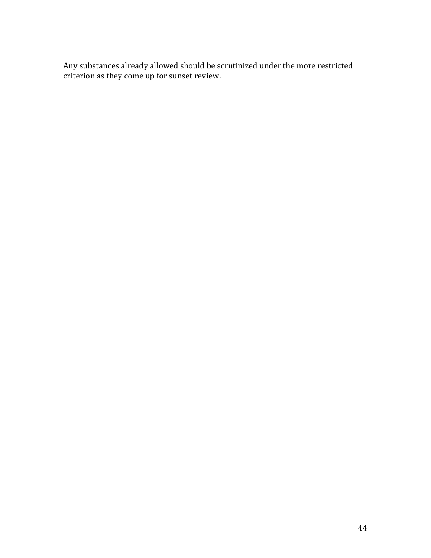Any substances already allowed should be scrutinized under the more restricted criterion as they come up for sunset review.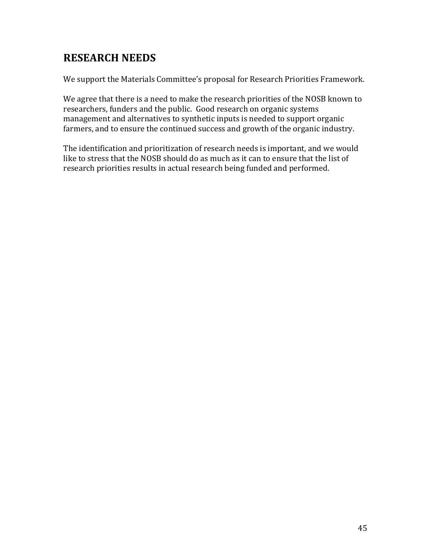## **RESEARCH!NEEDS**

We support the Materials Committee's proposal for Research Priorities Framework.

We agree that there is a need to make the research priorities of the NOSB known to researchers, funders and the public. Good research on organic systems management and alternatives to synthetic inputs is needed to support organic farmers, and to ensure the continued success and growth of the organic industry.

The identification and prioritization of research needs is important, and we would like to stress that the NOSB should do as much as it can to ensure that the list of research priorities results in actual research being funded and performed.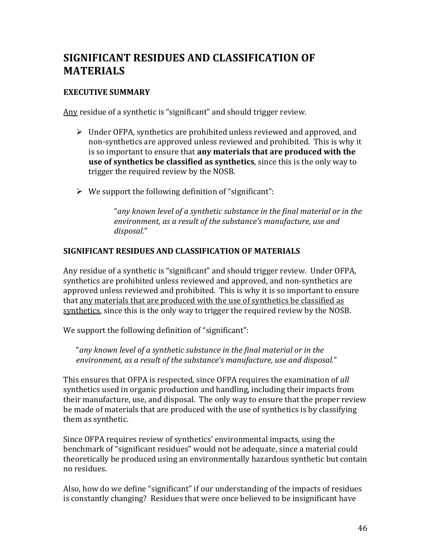## SIGNIFICANT RESIDUES AND CLASSIFICATION OF **MATERIALS**

#### **EXECUTIVE SUMMARY**

Any residue of a synthetic is "significant" and should trigger review.

- $\triangleright$  Under OFPA, synthetics are prohibited unless reviewed and approved, and non-synthetics are approved unless reviewed and prohibited. This is why it is so important to ensure that **any materials that are produced with the use of synthetics be classified as synthetics**, since this is the only way to trigger the required review by the NOSB.
- $\triangleright$  We support the following definition of "significant":

"*any,known,level,of,a,synthetic,substance,in,the,final,material,or,in,the,* environment, as a result of the substance's manufacture, use and *disposal.*"

#### SIGNIFICANT RESIDUES AND CLASSIFICATION OF MATERIALS

Any residue of a synthetic is "significant" and should trigger review. Under OFPA, synthetics are prohibited unless reviewed and approved, and non-synthetics are approved unless reviewed and prohibited. This is why it is so important to ensure that any materials that are produced with the use of synthetics be classified as synthetics, since this is the only way to trigger the required review by the NOSB.

We support the following definition of "significant":

"*any,known,level,of,a,synthetic,substance,in,the,final,material,or,in,the, environment, as a result of the substance's manufacture, use and disposal."* 

This ensures that OFPA is respected, since OFPA requires the examination of all synthetics used in organic production and handling, including their impacts from their manufacture, use, and disposal. The only way to ensure that the proper review be made of materials that are produced with the use of synthetics is by classifying them as synthetic.

Since OFPA requires review of synthetics' environmental impacts, using the benchmark of "significant residues" would not be adequate, since a material could theoretically be produced using an environmentally hazardous synthetic but contain no residues.

Also, how do we define "significant" if our understanding of the impacts of residues is constantly changing? Residues that were once believed to be insignificant have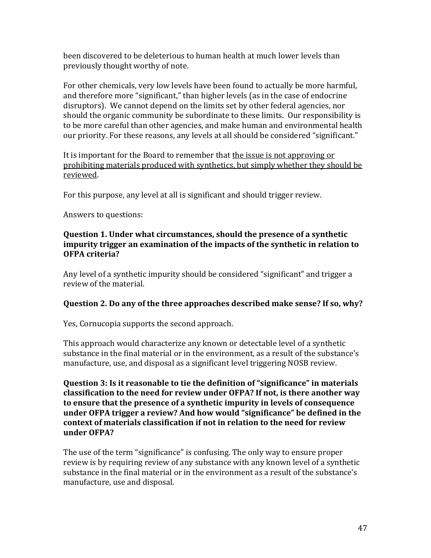been discovered to be deleterious to human health at much lower levels than previously thought worthy of note.

For other chemicals, very low levels have been found to actually be more harmful, and therefore more "significant," than higher levels (as in the case of endocrine disruptors). We cannot depend on the limits set by other federal agencies, nor should the organic community be subordinate to these limits. Our responsibility is to be more careful than other agencies, and make human and environmental health our priority. For these reasons, any levels at all should be considered "significant."

It is important for the Board to remember that the issue is not approving or prohibiting materials produced with synthetics, but simply whether they should be reviewed.

For this purpose, any level at all is significant and should trigger review.

Answers to questions:

#### **Question 1. Under what circumstances, should the presence of a synthetic impurity trigger an examination of the impacts of the synthetic in relation to OFPA** criteria?

Any level of a synthetic impurity should be considered "significant" and trigger a review of the material.

### **Question 2. Do any of the three approaches described make sense? If so, why?**

Yes, Cornucopia supports the second approach.

This approach would characterize any known or detectable level of a synthetic substance in the final material or in the environment, as a result of the substance's manufacture, use, and disposal as a significant level triggering NOSB review.

**Question 3: Is it reasonable to tie the definition of "significance" in materials** classification to the need for review under OFPA? If not, is there another way to ensure that the presence of a synthetic impurity in levels of consequence under OFPA trigger a review? And how would "significance" be defined in the context of materials classification if not in relation to the need for review **under!OFPA?**

The use of the term "significance" is confusing. The only way to ensure proper review is by requiring review of any substance with any known level of a synthetic substance in the final material or in the environment as a result of the substance's manufacture, use and disposal.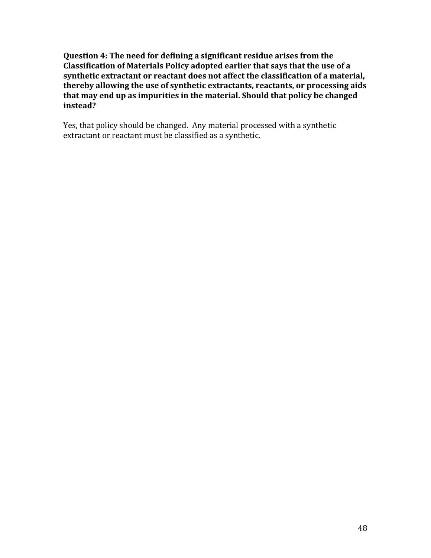**Question 4: The need for defining a significant residue arises from the Classification of Materials Policy adopted earlier that says that the use of a** synthetic extractant or reactant does not affect the classification of a material, thereby allowing the use of synthetic extractants, reactants, or processing aids<sup>1</sup> that may end up as impurities in the material. Should that policy be changed **instead?**

Yes, that policy should be changed. Any material processed with a synthetic extractant or reactant must be classified as a synthetic.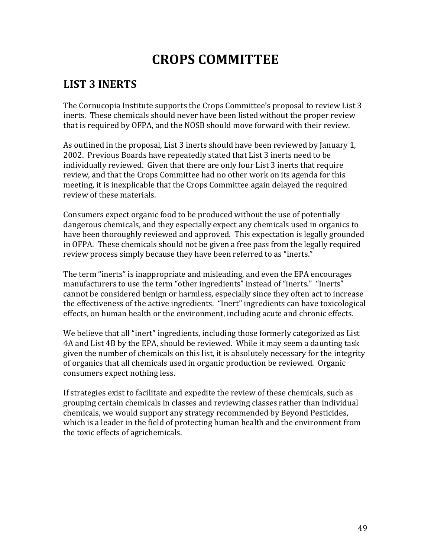# **CROPS!COMMITTEE**

## **LIST!3!INERTS**

The Cornucopia Institute supports the Crops Committee's proposal to review List 3 inerts. These chemicals should never have been listed without the proper review that is required by OFPA, and the NOSB should move forward with their review.

As outlined in the proposal, List 3 inerts should have been reviewed by January 1, 2002. Previous Boards have repeatedly stated that List 3 inerts need to be individually reviewed. Given that there are only four List 3 inerts that require review, and that the Crops Committee had no other work on its agenda for this meeting, it is inexplicable that the Crops Committee again delayed the required review of these materials.

Consumers expect organic food to be produced without the use of potentially dangerous chemicals, and they especially expect any chemicals used in organics to have been thoroughly reviewed and approved. This expectation is legally grounded in OFPA. These chemicals should not be given a free pass from the legally required review process simply because they have been referred to as "inerts."

The term "inerts" is inappropriate and misleading, and even the EPA encourages manufacturers to use the term "other ingredients" instead of "inerts." "Inerts" cannot be considered benign or harmless, especially since they often act to increase the effectiveness of the active ingredients. "Inert" ingredients can have toxicological effects, on human health or the environment, including acute and chronic effects.

We believe that all "inert" ingredients, including those formerly categorized as List 4A and List 4B by the EPA, should be reviewed. While it may seem a daunting task given the number of chemicals on this list, it is absolutely necessary for the integrity of organics that all chemicals used in organic production be reviewed. Organic consumers expect nothing less.

If strategies exist to facilitate and expedite the review of these chemicals, such as grouping certain chemicals in classes and reviewing classes rather than individual chemicals, we would support any strategy recommended by Beyond Pesticides, which is a leader in the field of protecting human health and the environment from the toxic effects of agrichemicals.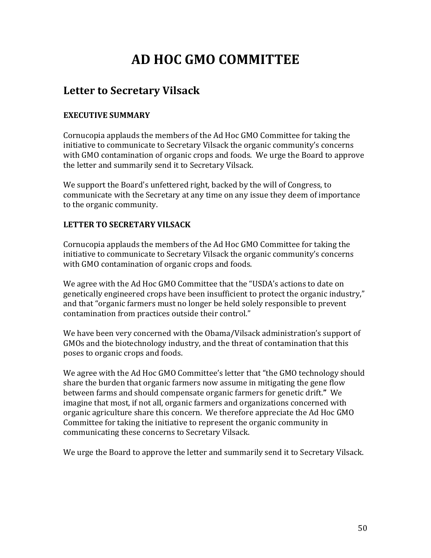# **AD!HOC!GMO!COMMITTEE**

## **Letter to Secretary Vilsack**

## **EXECUTIVE!SUMMARY**

Cornucopia applauds the members of the Ad Hoc GMO Committee for taking the initiative to communicate to Secretary Vilsack the organic community's concerns with GMO contamination of organic crops and foods. We urge the Board to approve the letter and summarily send it to Secretary Vilsack.

We support the Board's unfettered right, backed by the will of Congress, to communicate with the Secretary at any time on any issue they deem of importance to the organic community.

### **LETTER TO SECRETARY VILSACK**

Cornucopia applauds the members of the Ad Hoc GMO Committee for taking the initiative to communicate to Secretary Vilsack the organic community's concerns with GMO contamination of organic crops and foods.

We agree with the Ad Hoc GMO Committee that the "USDA's actions to date on genetically engineered crops have been insufficient to protect the organic industry," and that "organic farmers must no longer be held solely responsible to prevent contamination from practices outside their control."

We have been very concerned with the Obama/Vilsack administration's support of GMOs and the biotechnology industry, and the threat of contamination that this poses to organic crops and foods.

We agree with the Ad Hoc GMO Committee's letter that "the GMO technology should share the burden that organic farmers now assume in mitigating the gene flow between farms and should compensate organic farmers for genetic drift." We imagine that most, if not all, organic farmers and organizations concerned with organic agriculture share this concern. We therefore appreciate the Ad Hoc GMO Committee for taking the initiative to represent the organic community in communicating these concerns to Secretary Vilsack.

We urge the Board to approve the letter and summarily send it to Secretary Vilsack.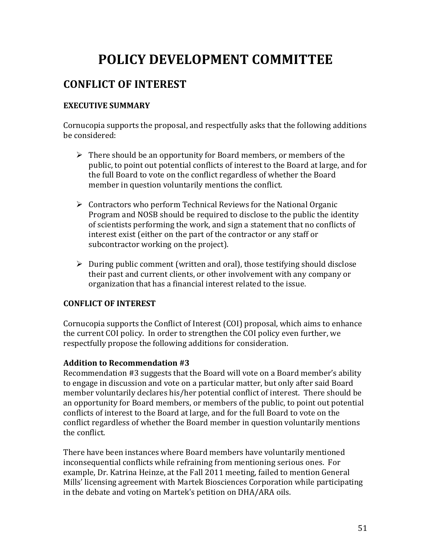# POLICY DEVELOPMENT COMMITTEE

## **CONFLICT!OF!INTEREST**

### **EXECUTIVE SUMMARY**

Cornucopia supports the proposal, and respectfully asks that the following additions be considered:

- $\triangleright$  There should be an opportunity for Board members, or members of the public, to point out potential conflicts of interest to the Board at large, and for the full Board to vote on the conflict regardless of whether the Board member in question voluntarily mentions the conflict.
- $\triangleright$  Contractors who perform Technical Reviews for the National Organic Program and NOSB should be required to disclose to the public the identity of scientists performing the work, and sign a statement that no conflicts of interest exist (either on the part of the contractor or any staff or subcontractor working on the project).
- $\triangleright$  During public comment (written and oral), those testifying should disclose their past and current clients, or other involvement with any company or organization that has a financial interest related to the issue.

### **CONFLICT!OF!INTEREST**

Cornucopia supports the Conflict of Interest (COI) proposal, which aims to enhance the current COI policy. In order to strengthen the COI policy even further, we respectfully propose the following additions for consideration.

### Addition to Recommendation #3

Recommendation #3 suggests that the Board will vote on a Board member's ability to engage in discussion and vote on a particular matter, but only after said Board member voluntarily declares his/her potential conflict of interest. There should be an opportunity for Board members, or members of the public, to point out potential conflicts of interest to the Board at large, and for the full Board to vote on the conflict regardless of whether the Board member in question voluntarily mentions the conflict.

There have been instances where Board members have voluntarily mentioned inconsequential conflicts while refraining from mentioning serious ones. For example, Dr. Katrina Heinze, at the Fall 2011 meeting, failed to mention General Mills' licensing agreement with Martek Biosciences Corporation while participating in the debate and voting on Martek's petition on DHA/ARA oils.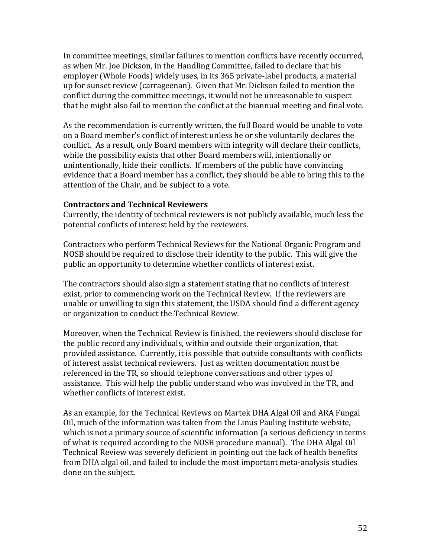In committee meetings, similar failures to mention conflicts have recently occurred, as when Mr. Joe Dickson, in the Handling Committee, failed to declare that his employer (Whole Foods) widely uses, in its 365 private-label products, a material up for sunset review (carrageenan). Given that Mr. Dickson failed to mention the conflict during the committee meetings, it would not be unreasonable to suspect that he might also fail to mention the conflict at the biannual meeting and final vote.

As the recommendation is currently written, the full Board would be unable to vote on a Board member's conflict of interest unless he or she voluntarily declares the conflict. As a result, only Board members with integrity will declare their conflicts, while the possibility exists that other Board members will, intentionally or unintentionally, hide their conflicts. If members of the public have convincing evidence that a Board member has a conflict, they should be able to bring this to the attention of the Chair, and be subject to a vote.

#### **Contractors!and!Technical!Reviewers**

Currently, the identity of technical reviewers is not publicly available, much less the potential conflicts of interest held by the reviewers.

Contractors who perform Technical Reviews for the National Organic Program and NOSB should be required to disclose their identity to the public. This will give the public an opportunity to determine whether conflicts of interest exist.

The contractors should also sign a statement stating that no conflicts of interest exist, prior to commencing work on the Technical Review. If the reviewers are unable or unwilling to sign this statement, the USDA should find a different agency or organization to conduct the Technical Review.

Moreover, when the Technical Review is finished, the reviewers should disclose for the public record any individuals, within and outside their organization, that provided assistance. Currently, it is possible that outside consultants with conflicts of interest assist technical reviewers. Just as written documentation must be referenced in the TR, so should telephone conversations and other types of assistance. This will help the public understand who was involved in the TR, and whether conflicts of interest exist.

As an example, for the Technical Reviews on Martek DHA Algal Oil and ARA Fungal Oil, much of the information was taken from the Linus Pauling Institute website, which is not a primary source of scientific information (a serious deficiency in terms of what is required according to the NOSB procedure manual). The DHA Algal Oil Technical Review was severely deficient in pointing out the lack of health benefits from DHA algal oil, and failed to include the most important meta-analysis studies done on the subject.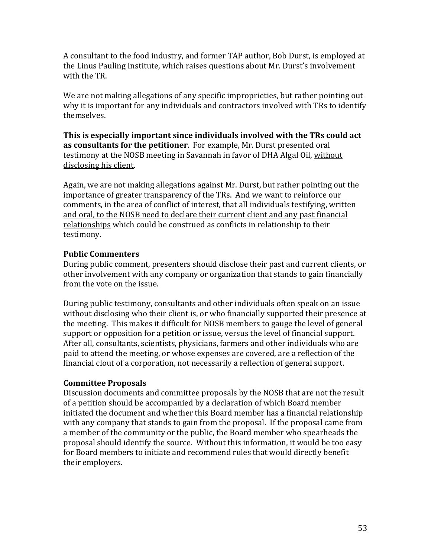A consultant to the food industry, and former TAP author, Bob Durst, is employed at the Linus Pauling Institute, which raises questions about Mr. Durst's involvement with the TR.

We are not making allegations of any specific improprieties, but rather pointing out why it is important for any individuals and contractors involved with TRs to identify themselves.

**This is especially important since individuals involved with the TRs could act as consultants for the petitioner**. For example, Mr. Durst presented oral testimony at the NOSB meeting in Savannah in favor of DHA Algal Oil, without disclosing his client.

Again, we are not making allegations against Mr. Durst, but rather pointing out the importance of greater transparency of the TRs. And we want to reinforce our comments, in the area of conflict of interest, that all individuals testifying, written and oral, to the NOSB need to declare their current client and any past financial relationships which could be construed as conflicts in relationship to their testimony.

### **Public!Commenters**

During public comment, presenters should disclose their past and current clients, or other involvement with any company or organization that stands to gain financially from the vote on the issue.

During public testimony, consultants and other individuals often speak on an issue without disclosing who their client is, or who financially supported their presence at the meeting. This makes it difficult for NOSB members to gauge the level of general support or opposition for a petition or issue, versus the level of financial support. After all, consultants, scientists, physicians, farmers and other individuals who are paid to attend the meeting, or whose expenses are covered, are a reflection of the financial clout of a corporation, not necessarily a reflection of general support.

### **Committee!Proposals**

Discussion documents and committee proposals by the NOSB that are not the result of a petition should be accompanied by a declaration of which Board member initiated the document and whether this Board member has a financial relationship with any company that stands to gain from the proposal. If the proposal came from a member of the community or the public, the Board member who spearheads the proposal should identify the source. Without this information, it would be too easy for Board members to initiate and recommend rules that would directly benefit their employers.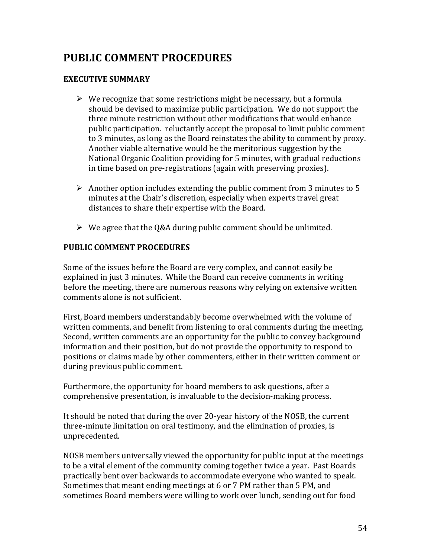## **PUBLIC!COMMENT!PROCEDURES**

#### **EXECUTIVE SUMMARY**

- $\triangleright$  We recognize that some restrictions might be necessary, but a formula should be devised to maximize public participation. We do not support the three minute restriction without other modifications that would enhance public participation. reluctantly accept the proposal to limit public comment to 3 minutes, as long as the Board reinstates the ability to comment by proxy. Another viable alternative would be the meritorious suggestion by the National Organic Coalition providing for 5 minutes, with gradual reductions in time based on pre-registrations (again with preserving proxies).
- Another option includes extending the public comment from 3 minutes to 5 minutes at the Chair's discretion, especially when experts travel great distances to share their expertise with the Board.
- $\triangleright$  We agree that the Q&A during public comment should be unlimited.

#### **PUBLIC!COMMENT!PROCEDURES**

Some of the issues before the Board are very complex, and cannot easily be explained in just 3 minutes. While the Board can receive comments in writing before the meeting, there are numerous reasons why relying on extensive written comments alone is not sufficient.

First, Board members understandably become overwhelmed with the volume of written comments, and benefit from listening to oral comments during the meeting. Second, written comments are an opportunity for the public to convey background information and their position, but do not provide the opportunity to respond to positions or claims made by other commenters, either in their written comment or during previous public comment.

Furthermore, the opportunity for board members to ask questions, after a comprehensive presentation, is invaluable to the decision-making process.

It should be noted that during the over 20-year history of the NOSB, the current three-minute limitation on oral testimony, and the elimination of proxies, is unprecedented.

NOSB members universally viewed the opportunity for public input at the meetings to be a vital element of the community coming together twice a year. Past Boards practically bent over backwards to accommodate everyone who wanted to speak. Sometimes that meant ending meetings at 6 or 7 PM rather than 5 PM, and sometimes Board members were willing to work over lunch, sending out for food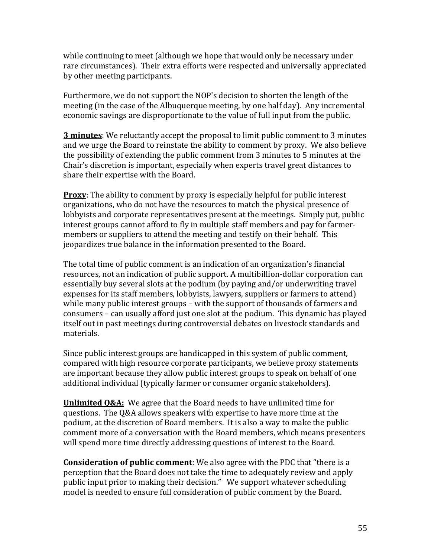while continuing to meet (although we hope that would only be necessary under rare circumstances). Their extra efforts were respected and universally appreciated by other meeting participants.

Furthermore, we do not support the NOP's decision to shorten the length of the meeting (in the case of the Albuquerque meeting, by one half day). Any incremental economic savings are disproportionate to the value of full input from the public.

**3 minutes**: We reluctantly accept the proposal to limit public comment to 3 minutes and we urge the Board to reinstate the ability to comment by proxy. We also believe the possibility of extending the public comment from 3 minutes to 5 minutes at the Chair's discretion is important, especially when experts travel great distances to share their expertise with the Board.

**Proxy:** The ability to comment by proxy is especially helpful for public interest organizations, who do not have the resources to match the physical presence of lobbyists and corporate representatives present at the meetings. Simply put, public interest groups cannot afford to fly in multiple staff members and pay for farmermembers or suppliers to attend the meeting and testify on their behalf. This jeopardizes true balance in the information presented to the Board.

The total time of public comment is an indication of an organization's financial resources, not an indication of public support. A multibillion-dollar corporation can essentially buy several slots at the podium (by paying and/or underwriting travel expenses for its staff members, lobbyists, lawyers, suppliers or farmers to attend) while many public interest groups – with the support of thousands of farmers and consumers – can usually afford just one slot at the podium. This dynamic has played itself out in past meetings during controversial debates on livestock standards and materials.

Since public interest groups are handicapped in this system of public comment, compared with high resource corporate participants, we believe proxy statements are important because they allow public interest groups to speak on behalf of one additional individual (typically farmer or consumer organic stakeholders).

**Unlimited O&A:** We agree that the Board needs to have unlimited time for questions. The Q&A allows speakers with expertise to have more time at the podium, at the discretion of Board members. It is also a way to make the public comment more of a conversation with the Board members, which means presenters will spend more time directly addressing questions of interest to the Board.

**Consideration of public comment**: We also agree with the PDC that "there is a perception that the Board does not take the time to adequately review and apply public input prior to making their decision." We support whatever scheduling model is needed to ensure full consideration of public comment by the Board.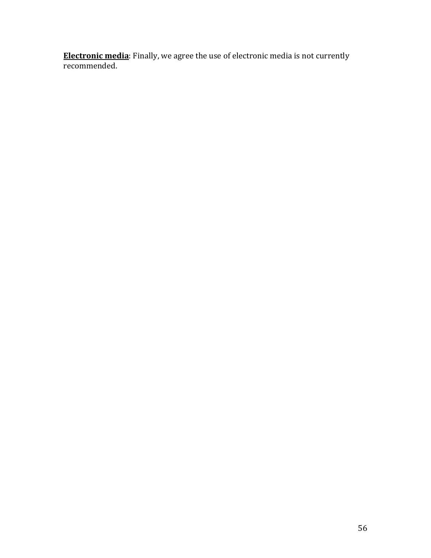**Electronic media**: Finally, we agree the use of electronic media is not currently recommended.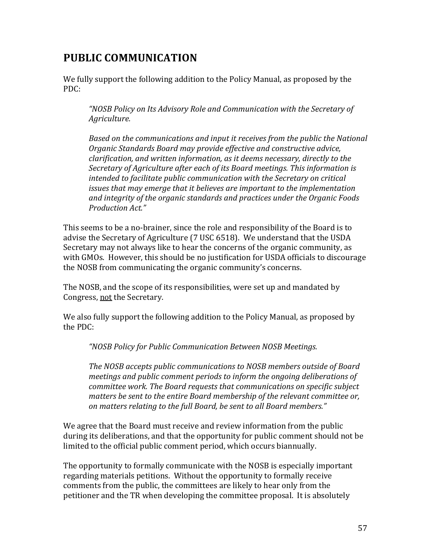## **PUBLIC!COMMUNICATION**

We fully support the following addition to the Policy Manual, as proposed by the PDC:

*"NOSB,Policy,on,Its,Advisory,Role,and,Communication,with,the,Secretary,of, Agriculture.,*

*Based on the communications and input it receives from the public the National Organic,Standards,Board,may,provide,effective,and,constructive,advice,, clarification, and written information, as it deems necessary, directly to the Secretary of Agriculture after each of its Board meetings. This information is intended to facilitate public communication with the Secretary on critical issues that may emerge that it believes are important to the implementation and,integrity,of,the,organic,standards,and,practices,under,the,Organic,Foods, Production,Act.",*

This seems to be a no-brainer, since the role and responsibility of the Board is to advise the Secretary of Agriculture (7 USC 6518). We understand that the USDA Secretary may not always like to hear the concerns of the organic community, as with GMOs. However, this should be no justification for USDA officials to discourage the NOSB from communicating the organic community's concerns.

The NOSB, and the scope of its responsibilities, were set up and mandated by Congress, not the Secretary.

We also fully support the following addition to the Policy Manual, as proposed by the PDC:

*"NOSB,Policy,for,Public,Communication,Between,NOSB,Meetings.*

*The,NOSB,accepts,public,communications,to,NOSB,members,outside,of,Board, meetings and public comment periods to inform the ongoing deliberations of committee,work.,The,Board,requests,that,communications,on,specific,subject, matters be sent to the entire Board membership of the relevant committee or, on,matters,relating,to,the,full,Board,,be,sent,to,all,Board,members."*

We agree that the Board must receive and review information from the public during its deliberations, and that the opportunity for public comment should not be limited to the official public comment period, which occurs biannually.

The opportunity to formally communicate with the NOSB is especially important regarding materials petitions. Without the opportunity to formally receive comments from the public, the committees are likely to hear only from the petitioner and the TR when developing the committee proposal. It is absolutely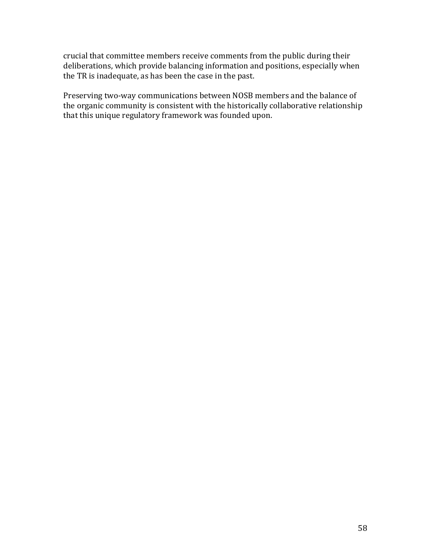crucial that committee members receive comments from the public during their deliberations, which provide balancing information and positions, especially when the TR is inadequate, as has been the case in the past.

Preserving two-way communications between NOSB members and the balance of the organic community is consistent with the historically collaborative relationship that this unique regulatory framework was founded upon.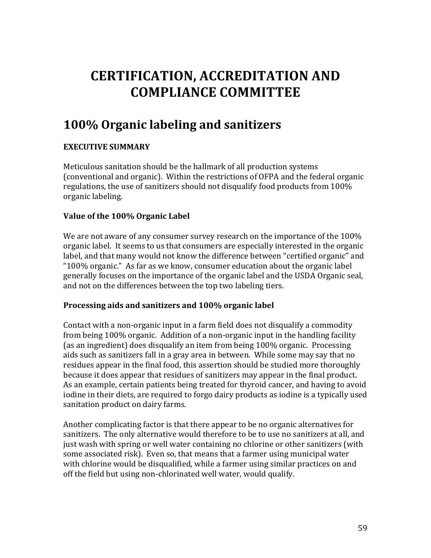# **CERTIFICATION, ACCREDITATION AND COMPLIANCE!COMMITTEE**

# **100%!Organic!labeling!and!sanitizers**

## **EXECUTIVE SUMMARY**

Meticulous sanitation should be the hallmark of all production systems (conventional and organic). Within the restrictions of OFPA and the federal organic regulations, the use of sanitizers should not disqualify food products from 100% organic labeling.

### **Value of the 100% Organic Label**

We are not aware of any consumer survey research on the importance of the  $100\%$ organic label. It seems to us that consumers are especially interested in the organic label, and that many would not know the difference between "certified organic" and " $100\%$  organic." As far as we know, consumer education about the organic label generally focuses on the importance of the organic label and the USDA Organic seal, and not on the differences between the top two labeling tiers.

### **Processing aids and sanitizers and 100% organic label**

Contact with a non-organic input in a farm field does not disqualify a commodity from being 100% organic. Addition of a non-organic input in the handling facility (as an ingredient) does disqualify an item from being 100% organic. Processing aids such as sanitizers fall in a gray area in between. While some may say that no residues appear in the final food, this assertion should be studied more thoroughly because it does appear that residues of sanitizers may appear in the final product. As an example, certain patients being treated for thyroid cancer, and having to avoid iodine in their diets, are required to forgo dairy products as iodine is a typically used sanitation product on dairy farms.

Another complicating factor is that there appear to be no organic alternatives for sanitizers. The only alternative would therefore to be to use no sanitizers at all, and just wash with spring or well water containing no chlorine or other sanitizers (with some associated risk). Even so, that means that a farmer using municipal water with chlorine would be disqualified, while a farmer using similar practices on and off the field but using non-chlorinated well water, would qualify.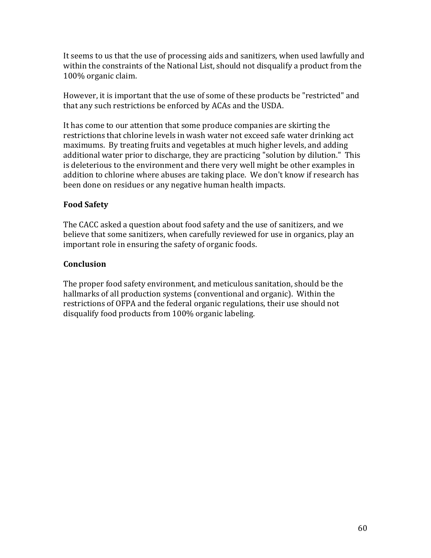It seems to us that the use of processing aids and sanitizers, when used lawfully and within the constraints of the National List, should not disqualify a product from the 100% organic claim.

However, it is important that the use of some of these products be "restricted" and that any such restrictions be enforced by ACAs and the USDA.

It has come to our attention that some produce companies are skirting the restrictions that chlorine levels in wash water not exceed safe water drinking act maximums. By treating fruits and vegetables at much higher levels, and adding additional water prior to discharge, they are practicing "solution by dilution." This is deleterious to the environment and there very well might be other examples in addition to chlorine where abuses are taking place. We don't know if research has been done on residues or any negative human health impacts.

### **Food!Safety**

The CACC asked a question about food safety and the use of sanitizers, and we believe that some sanitizers, when carefully reviewed for use in organics, play an important role in ensuring the safety of organic foods.

### **Conclusion!**

The proper food safety environment, and meticulous sanitation, should be the hallmarks of all production systems (conventional and organic). Within the restrictions of OFPA and the federal organic regulations, their use should not disqualify food products from 100% organic labeling.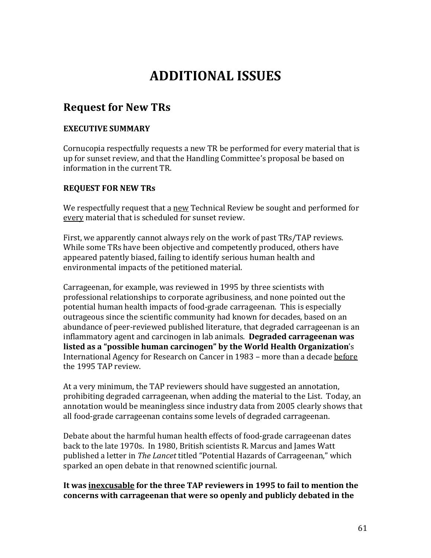# **ADDITIONAL!ISSUES**

## **Request for New TRs**

#### **EXECUTIVE SUMMARY**

Cornucopia respectfully requests a new TR be performed for every material that is up for sunset review, and that the Handling Committee's proposal be based on information in the current TR.

#### **REQUEST FOR NEW TRS**

We respectfully request that a new Technical Review be sought and performed for every material that is scheduled for sunset review.

First, we apparently cannot always rely on the work of past TRs/TAP reviews. While some TRs have been objective and competently produced, others have appeared patently biased, failing to identify serious human health and environmental impacts of the petitioned material.

Carrageenan, for example, was reviewed in 1995 by three scientists with professional relationships to corporate agribusiness, and none pointed out the potential human health impacts of food-grade carrageenan. This is especially outrageous since the scientific community had known for decades, based on an abundance of peer-reviewed published literature, that degraded carrageenan is an inflammatory agent and carcinogen in lab animals. **Degraded carrageenan was** listed as a "possible human carcinogen" by the World Health Organization's International Agency for Research on Cancer in 1983 – more than a decade before the 1995 TAP review.

At a very minimum, the TAP reviewers should have suggested an annotation, prohibiting degraded carrageenan, when adding the material to the List. Today, an annotation would be meaningless since industry data from 2005 clearly shows that all food-grade carrageenan contains some levels of degraded carrageenan.

Debate about the harmful human health effects of food-grade carrageenan dates back to the late 1970s. In 1980, British scientists R. Marcus and James Watt published a letter in *The Lancet* titled "Potential Hazards of Carrageenan," which sparked an open debate in that renowned scientific journal.

#### It was inexcusable for the three TAP reviewers in 1995 to fail to mention the concerns with carrageenan that were so openly and publicly debated in the